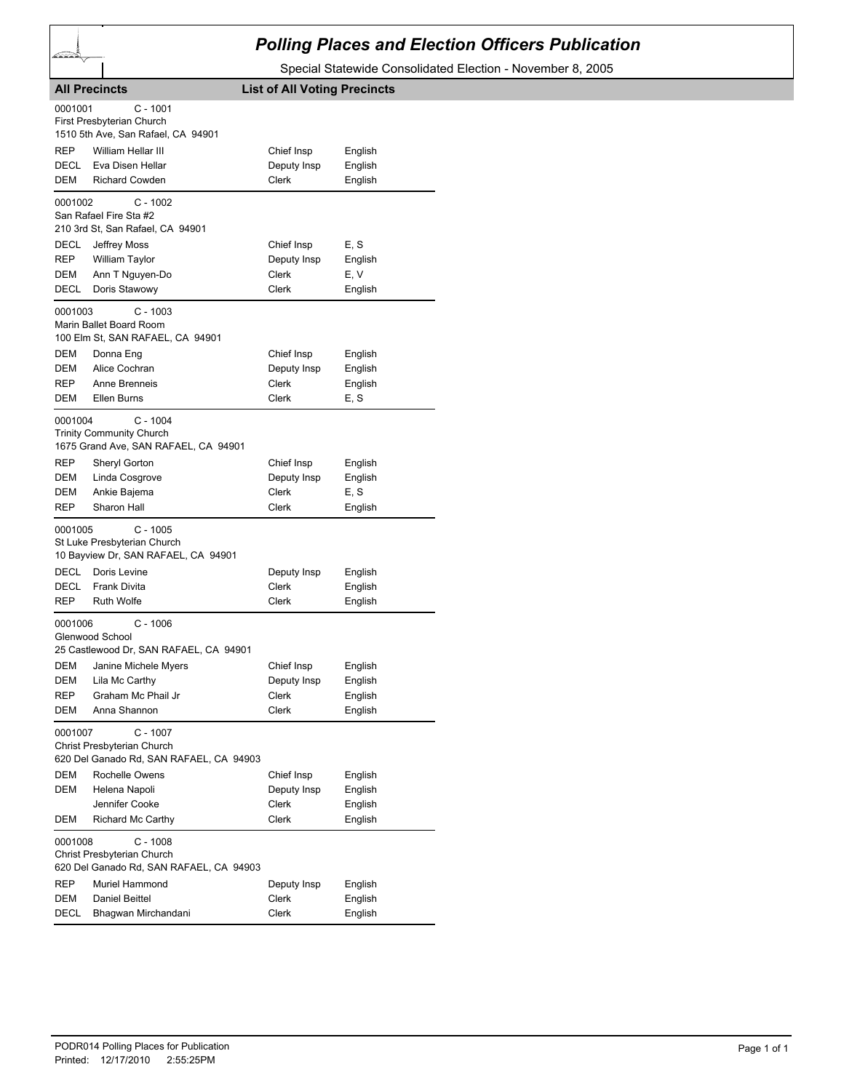## *Polling Places and Election Officers Publication*

Special Statewide Consolidated Election - November 8, 2005

|                        | <b>All Precincts</b>                                                                                              | <b>List of All Voting Precincts</b> |                 |
|------------------------|-------------------------------------------------------------------------------------------------------------------|-------------------------------------|-----------------|
| 0001001                | C - 1001<br>First Presbyterian Church<br>1510 5th Ave, San Rafael, CA 94901                                       |                                     |                 |
| REP                    | William Hellar III                                                                                                | Chief Insp                          | English         |
| DECL                   | Eva Disen Hellar                                                                                                  | Deputy Insp                         | English         |
| DEM                    | <b>Richard Cowden</b>                                                                                             | <b>Clerk</b>                        | English         |
| 0001002<br>DECL<br>REP | $C - 1002$<br>San Rafael Fire Sta #2<br>210 3rd St, San Rafael, CA 94901<br>Jeffrey Moss<br><b>William Taylor</b> | Chief Insp<br>Deputy Insp           | E, S<br>English |
| DEM                    | Ann T Nguyen-Do                                                                                                   | Clerk                               | E, V            |
| DECL                   | Doris Stawowy                                                                                                     | Clerk                               | English         |
| 0001003                | C - 1003<br>Marin Ballet Board Room<br>100 Elm St, SAN RAFAEL, CA 94901                                           |                                     |                 |
| DEM                    | Donna Eng                                                                                                         | Chief Insp                          | English         |
| DEM                    | Alice Cochran                                                                                                     | Deputy Insp                         | English         |
| REP                    | Anne Brenneis                                                                                                     | Clerk                               | English         |
| DEM                    | Ellen Burns                                                                                                       | <b>Clerk</b>                        | E, S            |
| 0001004                | C - 1004<br><b>Trinity Community Church</b><br>1675 Grand Ave, SAN RAFAEL, CA 94901                               |                                     |                 |
| REP                    | <b>Sheryl Gorton</b>                                                                                              | Chief Insp                          | English         |
| DEM                    | Linda Cosgrove                                                                                                    | Deputy Insp                         | English         |
| DEM                    | Ankie Bajema                                                                                                      | Clerk                               | E, S            |
| REP                    | Sharon Hall                                                                                                       | Clerk                               | English         |
| 0001005                | $C - 1005$<br>St Luke Presbyterian Church<br>10 Bayview Dr, SAN RAFAEL, CA 94901                                  |                                     |                 |
| DECL                   | Doris Levine                                                                                                      | Deputy Insp                         | English         |
| DECL                   | <b>Frank Divita</b>                                                                                               | Clerk                               | English         |
| REP                    | <b>Ruth Wolfe</b>                                                                                                 | Clerk                               | English         |
| 0001006                | $C - 1006$<br>Glenwood School                                                                                     |                                     |                 |
|                        | 25 Castlewood Dr, SAN RAFAEL, CA 94901                                                                            |                                     |                 |
| DEM                    | Janine Michele Myers                                                                                              | Chief Insp                          | English         |
| DEM                    | Lila Mc Carthy                                                                                                    | Deputy Insp                         | English         |
| REP                    | Graham Mc Phail Jr                                                                                                | Clerk                               | English         |
| DEM                    | Anna Shannon                                                                                                      | Clerk                               | English         |
| 0001007                | $C - 1007$<br>Christ Presbyterian Church<br>620 Del Ganado Rd, SAN RAFAEL, CA 94903                               |                                     |                 |
| DEM                    | Rochelle Owens                                                                                                    | Chief Insp                          | English         |
| <b>DEM</b>             | Helena Napoli                                                                                                     | Deputy Insp                         | English         |
|                        | Jennifer Cooke                                                                                                    | Clerk                               | English         |
| DEM                    | Richard Mc Carthy                                                                                                 | Clerk                               | English         |
| 0001008                | $C - 1008$<br>Christ Presbyterian Church<br>620 Del Ganado Rd, SAN RAFAEL, CA 94903                               |                                     |                 |
| REP                    | Muriel Hammond                                                                                                    | Deputy Insp                         | English         |
| DEM                    | Daniel Beittel                                                                                                    | Clerk                               | English         |
| DECL                   | Bhagwan Mirchandani                                                                                               | Clerk                               | English         |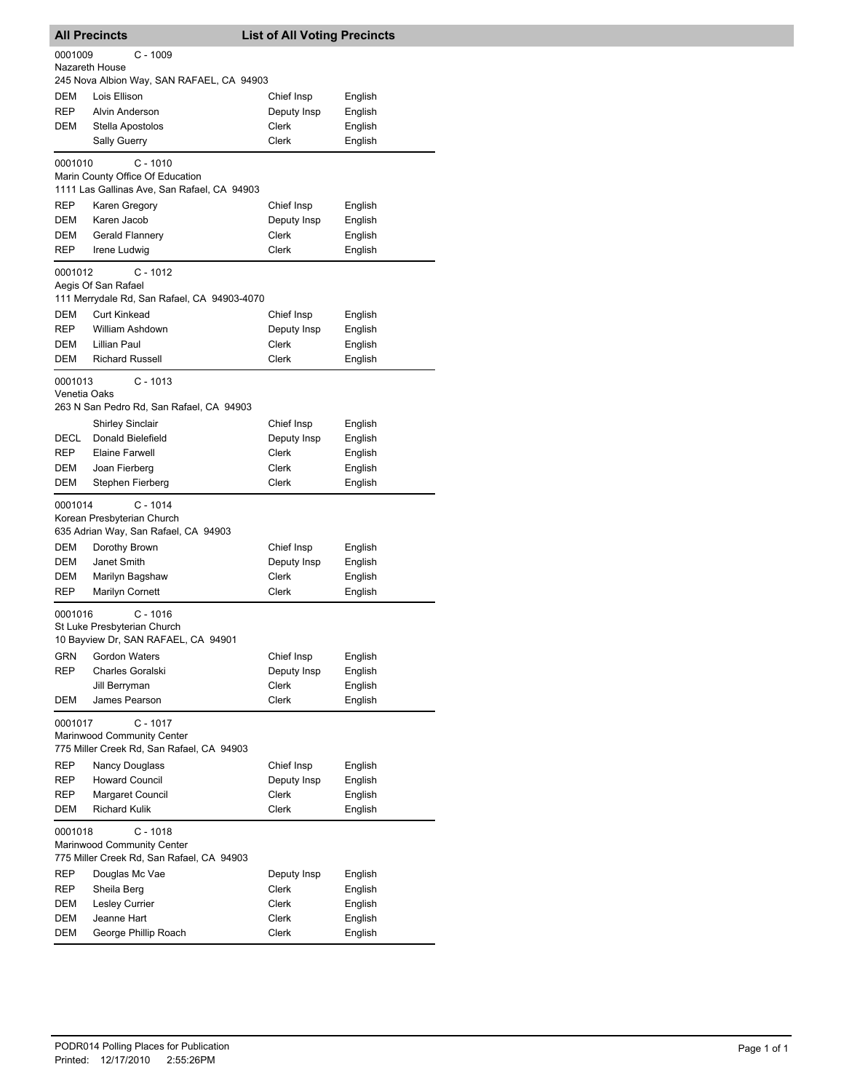|              | <b>All Precincts</b>                                                      | <b>List of All Voting Precincts</b> |                    |
|--------------|---------------------------------------------------------------------------|-------------------------------------|--------------------|
| 0001009      | $C - 1009$<br>Nazareth House<br>245 Nova Albion Way, SAN RAFAEL, CA 94903 |                                     |                    |
| <b>DEM</b>   | Lois Ellison                                                              | Chief Insp                          | English            |
| <b>REP</b>   | Alvin Anderson                                                            | Deputy Insp                         | English            |
| DEM          | Stella Apostolos                                                          | Clerk                               | English            |
|              | <b>Sally Guerry</b>                                                       | Clerk                               | English            |
| 0001010      | $C - 1010$                                                                |                                     |                    |
|              | Marin County Office Of Education                                          |                                     |                    |
|              | 1111 Las Gallinas Ave, San Rafael, CA 94903                               |                                     |                    |
| REP          | Karen Gregory                                                             | Chief Insp                          | English            |
| DEM<br>DEM   | Karen Jacob<br>Gerald Flannery                                            | Deputy Insp<br>Clerk                | English            |
| REP          | Irene Ludwig                                                              | Clerk                               | English<br>English |
|              |                                                                           |                                     |                    |
| 0001012      | $C - 1012$<br>Aegis Of San Rafael                                         |                                     |                    |
|              | 111 Merrydale Rd, San Rafael, CA 94903-4070                               |                                     |                    |
| <b>DEM</b>   | <b>Curt Kinkead</b>                                                       | Chief Insp                          | English            |
| REP          | William Ashdown                                                           | Deputy Insp                         | English            |
| DEM          | <b>Lillian Paul</b>                                                       | Clerk                               | English            |
| DEM          | <b>Richard Russell</b>                                                    | Clerk                               | English            |
| 0001013      | $C - 1013$                                                                |                                     |                    |
| Venetia Oaks |                                                                           |                                     |                    |
|              | 263 N San Pedro Rd, San Rafael, CA 94903                                  |                                     |                    |
| DECL         | <b>Shirley Sinclair</b><br>Donald Bielefield                              | Chief Insp<br>Deputy Insp           | English<br>English |
| REP          | <b>Elaine Farwell</b>                                                     | Clerk                               | English            |
| DEM          | Joan Fierberg                                                             | Clerk                               | English            |
| DEM          | Stephen Fierberg                                                          | Clerk                               | English            |
| 0001014      | $C - 1014$                                                                |                                     |                    |
|              | Korean Presbyterian Church                                                |                                     |                    |
|              | 635 Adrian Way, San Rafael, CA 94903                                      |                                     |                    |
| DEM          | Dorothy Brown                                                             | Chief Insp                          | English            |
| DEM          | Janet Smith                                                               | Deputy Insp                         | English            |
| DEM          | Marilyn Bagshaw                                                           | Clerk                               | English            |
| REP          | <b>Marilyn Cornett</b>                                                    | Clerk                               | English            |
| 0001016      | C - 1016                                                                  |                                     |                    |
|              | St Luke Presbyterian Church<br>10 Bayview Dr, SAN RAFAEL, CA 94901        |                                     |                    |
| GRN          | Gordon Waters                                                             | Chief Insp                          | English            |
| REP          | Charles Goralski                                                          | Deputy Insp                         | English            |
|              | Jill Berryman                                                             | Clerk                               | English            |
| <b>DEM</b>   | James Pearson                                                             | <b>Clerk</b>                        | English            |
| 0001017      | $C - 1017$                                                                |                                     |                    |
|              | Marinwood Community Center                                                |                                     |                    |
|              | 775 Miller Creek Rd, San Rafael, CA 94903                                 |                                     |                    |
| REP          | Nancy Douglass                                                            | Chief Insp                          | English            |
| REP          | <b>Howard Council</b>                                                     | Deputy Insp                         | English            |
| REP          | Margaret Council                                                          | Clerk                               | English            |
| DEM          | <b>Richard Kulik</b>                                                      | Clerk                               | English            |
| 0001018      | $C - 1018$                                                                |                                     |                    |
|              | Marinwood Community Center                                                |                                     |                    |
|              | 775 Miller Creek Rd, San Rafael, CA 94903                                 |                                     |                    |
| REP<br>REP   | Douglas Mc Vae<br>Sheila Berg                                             | Deputy Insp<br>Clerk                | English<br>English |
| DEM          | Lesley Currier                                                            | Clerk                               | English            |
| DEM          | Jeanne Hart                                                               | Clerk                               | English            |
| DEM          | George Phillip Roach                                                      | Clerk                               | English            |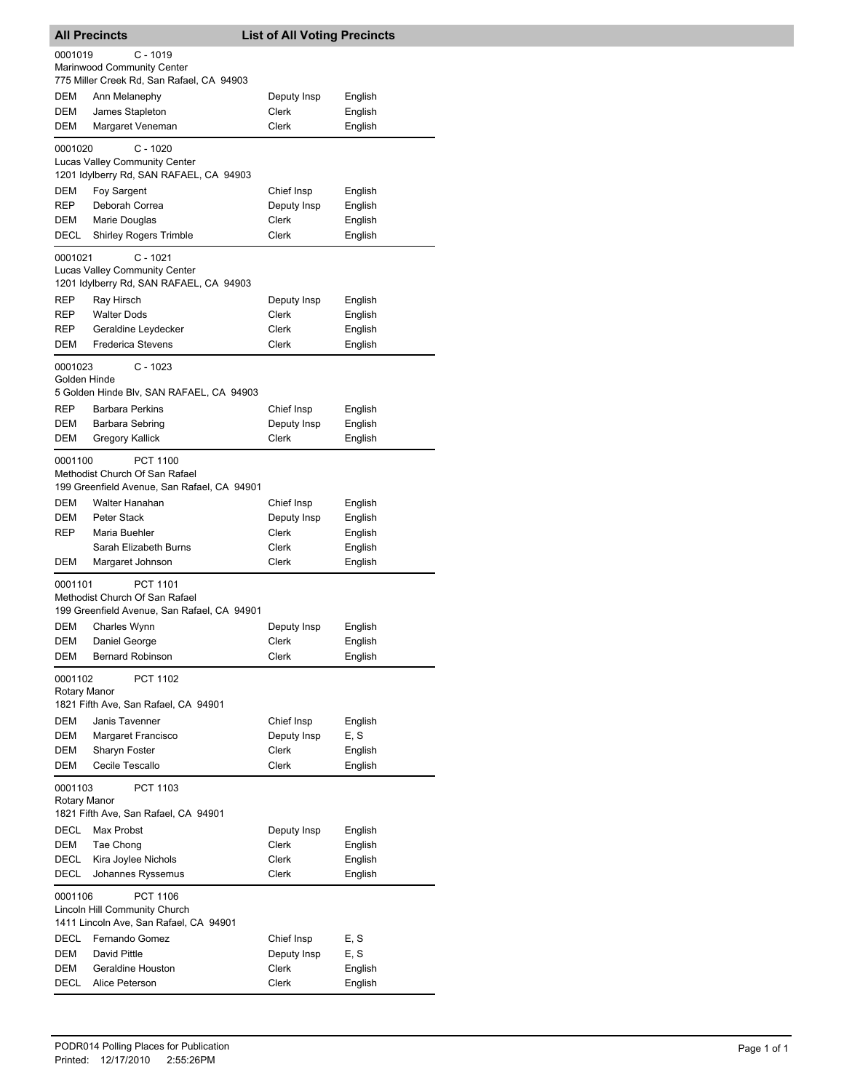|                         | <b>All Precincts</b>                                                                          | <b>List of All Voting Precincts</b> |                    |
|-------------------------|-----------------------------------------------------------------------------------------------|-------------------------------------|--------------------|
| 0001019                 | C - 1019<br>Marinwood Community Center                                                        |                                     |                    |
|                         | 775 Miller Creek Rd, San Rafael, CA 94903                                                     |                                     |                    |
| DEM                     | Ann Melanephy                                                                                 | Deputy Insp                         | English            |
| DEM<br>DEM              | James Stapleton<br>Margaret Veneman                                                           | Clerk<br>Clerk                      | English<br>English |
| 0001020                 | C - 1020                                                                                      |                                     |                    |
|                         | Lucas Valley Community Center<br>1201 Idylberry Rd, SAN RAFAEL, CA 94903                      |                                     |                    |
| DEM                     | Foy Sargent                                                                                   | Chief Insp                          | English            |
| REP                     | Deborah Correa                                                                                | Deputy Insp                         | English            |
| DEM                     | Marie Douglas                                                                                 | Clerk                               | English            |
| DECL                    | <b>Shirley Rogers Trimble</b>                                                                 | Clerk                               | English            |
| 0001021                 | $C - 1021$<br><b>Lucas Valley Community Center</b><br>1201 Idylberry Rd, SAN RAFAEL, CA 94903 |                                     |                    |
| REP                     | Ray Hirsch                                                                                    | Deputy Insp                         | English            |
| REP                     | <b>Walter Dods</b>                                                                            | Clerk                               | English            |
| REP                     | Geraldine Leydecker                                                                           | Clerk                               | English            |
| DEM                     | <b>Frederica Stevens</b>                                                                      | Clerk                               | English            |
| 0001023<br>Golden Hinde | $C - 1023$<br>5 Golden Hinde Blv, SAN RAFAEL, CA 94903                                        |                                     |                    |
| REP                     | <b>Barbara Perkins</b>                                                                        | Chief Insp                          | English            |
| DEM                     | Barbara Sebring                                                                               | Deputy Insp                         | English            |
| DEM                     | Gregory Kallick                                                                               | Clerk                               | English            |
| 0001100                 | PCT 1100<br>Methodist Church Of San Rafael<br>199 Greenfield Avenue, San Rafael, CA 94901     |                                     |                    |
| DEM                     | Walter Hanahan                                                                                | Chief Insp                          | English            |
| DEM                     | Peter Stack                                                                                   | Deputy Insp                         | English            |
| REP                     | Maria Buehler                                                                                 | Clerk                               | English            |
|                         | Sarah Elizabeth Burns                                                                         | Clerk                               | English            |
| DEM                     | Margaret Johnson                                                                              | Clerk                               | English            |
| 0001101                 | PCT 1101<br>Methodist Church Of San Rafael<br>199 Greenfield Avenue, San Rafael, CA 94901     |                                     |                    |
| DEM                     | Charles Wynn                                                                                  | Deputy Insp                         | English            |
| DEM                     | Daniel George                                                                                 | Clerk                               | English            |
| DEM                     | <b>Bernard Robinson</b>                                                                       | Clerk                               | English            |
| 0001102<br>Rotary Manor | PCT 1102<br>1821 Fifth Ave, San Rafael, CA 94901                                              |                                     |                    |
| DEM                     | Janis Tavenner                                                                                | Chief Insp                          | English            |
| DEM                     | Margaret Francisco                                                                            | Deputy Insp                         | E, S               |
| DEM                     | Sharyn Foster                                                                                 | Clerk                               | English            |
| DEM                     | Cecile Tescallo                                                                               | Clerk                               | English            |
| 0001103<br>Rotary Manor | PCT 1103<br>1821 Fifth Ave, San Rafael, CA 94901                                              |                                     |                    |
| DECL                    | Max Probst                                                                                    | Deputy Insp                         | English            |
| DEM                     | Tae Chong                                                                                     | Clerk                               | English            |
| DECL                    | Kira Joylee Nichols                                                                           | Clerk                               | English            |
| DECL                    | Johannes Ryssemus                                                                             | Clerk                               | English            |
| 0001106                 | PCT 1106<br>Lincoln Hill Community Church<br>1411 Lincoln Ave, San Rafael, CA 94901           |                                     |                    |
| DECL                    | Fernando Gomez                                                                                | Chief Insp                          | E, S               |
| DEM                     | David Pittle                                                                                  | Deputy Insp                         | E, S               |
| DEM                     | Geraldine Houston                                                                             | Clerk                               | English            |
| DECL                    | Alice Peterson                                                                                | Clerk                               | English            |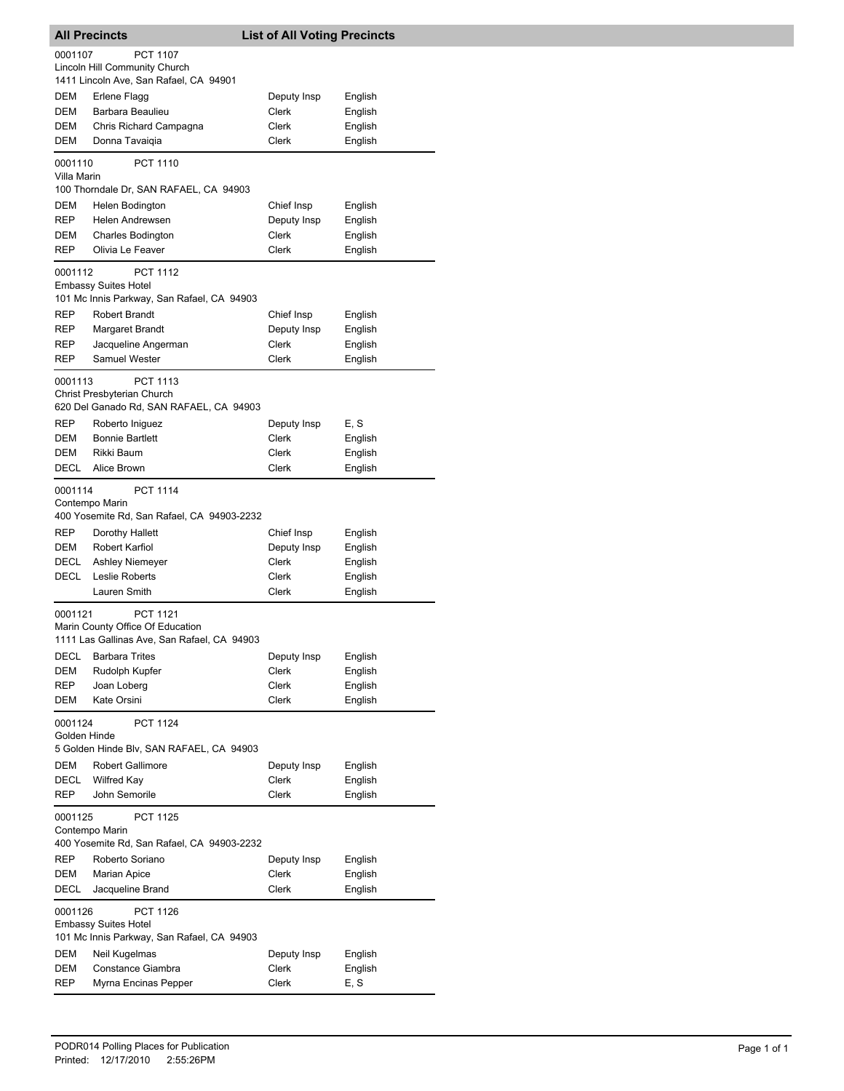|                         | <b>All Precincts</b>                                                                               | <b>List of All Voting Precincts</b> |                    |
|-------------------------|----------------------------------------------------------------------------------------------------|-------------------------------------|--------------------|
| 0001107                 | <b>PCT 1107</b><br>Lincoln Hill Community Church                                                   |                                     |                    |
|                         | 1411 Lincoln Ave, San Rafael, CA 94901                                                             |                                     |                    |
| DEM                     | Erlene Flagg                                                                                       | Deputy Insp                         | English            |
| DEM                     | Barbara Beaulieu                                                                                   | Clerk                               | English            |
| DEM                     | Chris Richard Campagna                                                                             | Clerk                               | English            |
| DEM                     | Donna Tavaiqia                                                                                     | Clerk                               | English            |
| 0001110<br>Villa Marin  | PCT 1110<br>100 Thorndale Dr, SAN RAFAEL, CA 94903                                                 |                                     |                    |
|                         | Helen Bodington                                                                                    |                                     |                    |
| DEM<br><b>REP</b>       | Helen Andrewsen                                                                                    | Chief Insp<br>Deputy Insp           | English<br>English |
| DEM                     | <b>Charles Bodington</b>                                                                           | Clerk                               | English            |
| <b>REP</b>              | Olivia Le Feaver                                                                                   | Clerk                               | English            |
| 0001112                 | PCT 1112<br><b>Embassy Suites Hotel</b><br>101 Mc Innis Parkway, San Rafael, CA 94903              |                                     |                    |
| REP                     | <b>Robert Brandt</b>                                                                               | Chief Insp                          | English            |
| REP                     | Margaret Brandt                                                                                    | Deputy Insp                         | English            |
| REP                     | Jacqueline Angerman                                                                                | Clerk                               | English            |
| REP                     | <b>Samuel Wester</b>                                                                               | Clerk                               | English            |
| 0001113                 | <b>PCT 1113</b><br>Christ Presbyterian Church<br>620 Del Ganado Rd, SAN RAFAEL, CA 94903           |                                     |                    |
| <b>REP</b>              | Roberto Iniguez                                                                                    | Deputy Insp                         | E, S               |
| DEM                     | <b>Bonnie Bartlett</b>                                                                             | Clerk                               | English            |
| DEM                     | Rikki Baum                                                                                         | Clerk                               | English            |
| DECL                    | Alice Brown                                                                                        | Clerk                               | English            |
| 0001114                 | <b>PCT 1114</b><br>Contempo Marin<br>400 Yosemite Rd, San Rafael, CA 94903-2232                    |                                     |                    |
| REP<br>DEM              | Dorothy Hallett<br>Robert Karfiol                                                                  | Chief Insp                          | English            |
| DECL                    | <b>Ashley Niemeyer</b>                                                                             | Deputy Insp<br>Clerk                | English<br>English |
| DECL                    | Leslie Roberts                                                                                     | Clerk                               | English            |
|                         | Lauren Smith                                                                                       | Clerk                               | English            |
| 0001121                 | <b>PCT 1121</b><br>Marin County Office Of Education<br>1111 Las Gallinas Ave, San Rafael, CA 94903 |                                     |                    |
| DECL                    | <b>Barbara Trites</b>                                                                              | Deputy Insp                         | English            |
| DEM<br>REP              | Rudolph Kupfer<br>Joan Loberg                                                                      | Clerk<br>Clerk                      | English<br>English |
| DEM                     | Kate Orsini                                                                                        | Clerk                               | English            |
| 0001124<br>Golden Hinde | <b>PCT 1124</b><br>5 Golden Hinde Blv, SAN RAFAEL, CA 94903                                        |                                     |                    |
| DEM                     | <b>Robert Gallimore</b>                                                                            | Deputy Insp                         | English            |
| DECL                    | <b>Wilfred Kay</b>                                                                                 | Clerk                               | English            |
| REP                     | John Semorile                                                                                      | Clerk                               | English            |
| 0001125                 | <b>PCT 1125</b><br>Contempo Marin                                                                  |                                     |                    |
|                         | 400 Yosemite Rd, San Rafael, CA 94903-2232                                                         |                                     |                    |
| REP                     | Roberto Soriano                                                                                    | Deputy Insp                         | English            |
| DEM                     | <b>Marian Apice</b>                                                                                | Clerk                               | English            |
| DECL                    | Jacqueline Brand                                                                                   | Clerk                               | English            |
| 0001126<br>DEM          | PCT 1126<br><b>Embassy Suites Hotel</b><br>101 Mc Innis Parkway, San Rafael, CA 94903              |                                     |                    |
| DEM                     | Neil Kugelmas<br>Constance Giambra                                                                 | Deputy Insp<br>Clerk                | English<br>English |
| REP                     | Myrna Encinas Pepper                                                                               | Clerk                               | E, S               |
|                         |                                                                                                    |                                     |                    |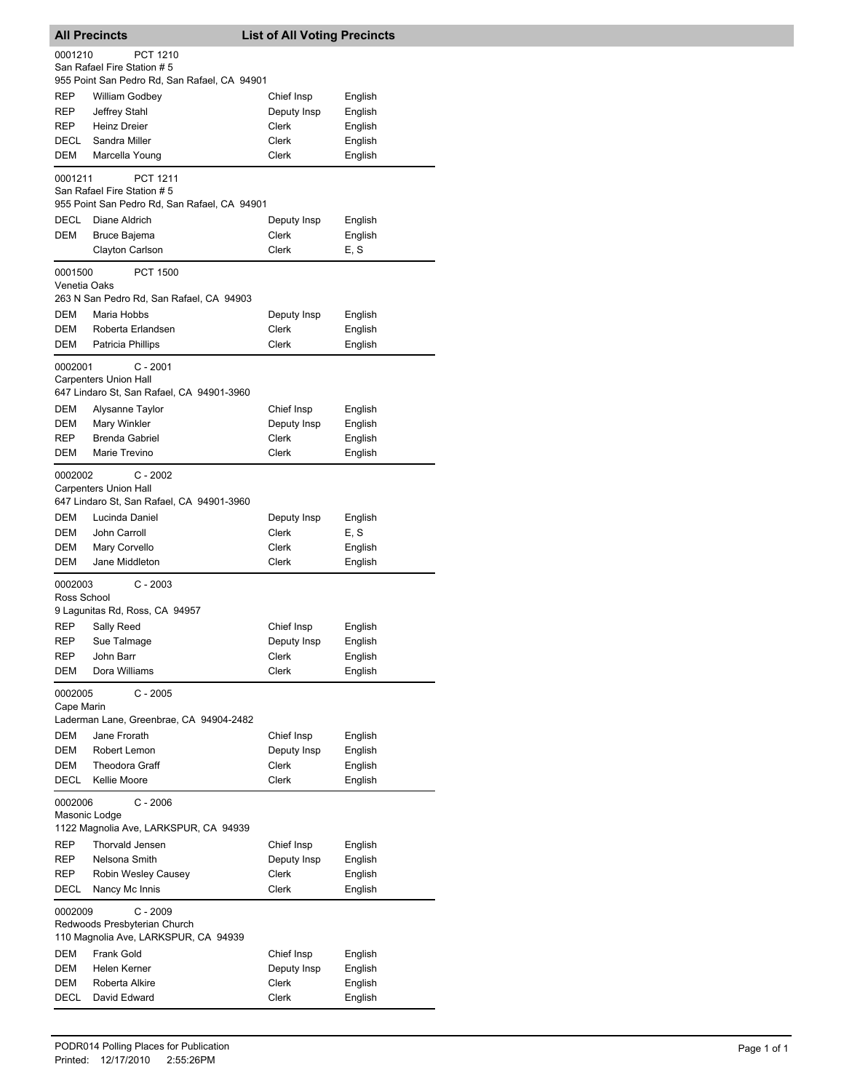|                         | <b>All Precincts</b>                                                                           | <b>List of All Voting Precincts</b> |         |  |  |
|-------------------------|------------------------------------------------------------------------------------------------|-------------------------------------|---------|--|--|
| 0001210                 | <b>PCT 1210</b><br>San Rafael Fire Station #5                                                  |                                     |         |  |  |
|                         | 955 Point San Pedro Rd, San Rafael, CA 94901                                                   |                                     |         |  |  |
| REP                     | <b>William Godbey</b>                                                                          | Chief Insp                          | English |  |  |
| REP                     | Jeffrey Stahl                                                                                  | Deputy Insp                         | English |  |  |
| <b>REP</b>              | <b>Heinz Dreier</b>                                                                            | Clerk                               | English |  |  |
| DECL                    | Sandra Miller                                                                                  | Clerk                               | English |  |  |
| DEM                     | Marcella Young                                                                                 | Clerk                               | English |  |  |
| 0001211                 | <b>PCT 1211</b><br>San Rafael Fire Station # 5<br>955 Point San Pedro Rd, San Rafael, CA 94901 |                                     |         |  |  |
| DECL                    | Diane Aldrich                                                                                  | Deputy Insp                         | English |  |  |
| DEM                     | Bruce Bajema                                                                                   | Clerk                               | English |  |  |
|                         | Clayton Carlson                                                                                | <b>Clerk</b>                        | E, S    |  |  |
| 0001500<br>Venetia Oaks | <b>PCT 1500</b>                                                                                |                                     |         |  |  |
|                         | 263 N San Pedro Rd, San Rafael, CA 94903                                                       |                                     |         |  |  |
| DEM                     | Maria Hobbs                                                                                    | Deputy Insp                         | English |  |  |
| DEM                     | Roberta Erlandsen                                                                              | <b>Clerk</b>                        | English |  |  |
| <b>DEM</b>              | Patricia Phillips                                                                              | Clerk                               | English |  |  |
| 0002001                 | $C - 2001$<br><b>Carpenters Union Hall</b><br>647 Lindaro St, San Rafael, CA 94901-3960        |                                     |         |  |  |
| DEM                     | Alysanne Taylor                                                                                | Chief Insp                          | English |  |  |
| DEM                     | Mary Winkler                                                                                   | Deputy Insp                         | English |  |  |
| REP                     | <b>Brenda Gabriel</b>                                                                          | Clerk                               | English |  |  |
| DEM                     | Marie Trevino                                                                                  | Clerk                               | English |  |  |
| 0002002                 | C - 2002<br><b>Carpenters Union Hall</b><br>647 Lindaro St, San Rafael, CA 94901-3960          |                                     |         |  |  |
| DEM                     | Lucinda Daniel                                                                                 | Deputy Insp                         | English |  |  |
| DEM                     | John Carroll                                                                                   | Clerk                               | E. S    |  |  |
| DEM                     | Mary Corvello                                                                                  | Clerk                               | English |  |  |
| DEM                     | Jane Middleton                                                                                 | Clerk                               | English |  |  |
| 0002003<br>Ross School  | $C - 2003$                                                                                     |                                     |         |  |  |
|                         | 9 Lagunitas Rd, Ross, CA 94957                                                                 |                                     |         |  |  |
| REP                     | Sally Reed                                                                                     | Chief Insp                          | English |  |  |
| REP                     | Sue Talmage                                                                                    | Deputy Insp                         | English |  |  |
| REP                     | John Barr                                                                                      | <b>Clerk</b>                        | English |  |  |
| DEM                     | Dora Williams                                                                                  | Clerk                               | English |  |  |
| 0002005<br>Cape Marin   | $C - 2005$<br>Laderman Lane, Greenbrae, CA 94904-2482                                          |                                     |         |  |  |
| DEM                     | Jane Frorath                                                                                   | Chief Insp                          | English |  |  |
| DEM                     | Robert Lemon                                                                                   | Deputy Insp                         | English |  |  |
| DEM                     | <b>Theodora Graff</b>                                                                          | Clerk                               | English |  |  |
| DECL                    | Kellie Moore                                                                                   | Clerk                               | English |  |  |
|                         | 0002006<br>$C - 2006$<br>Masonic Lodge<br>1122 Magnolia Ave, LARKSPUR, CA 94939                |                                     |         |  |  |
| REP                     | Thorvald Jensen                                                                                | Chief Insp                          | English |  |  |
| REP                     | Nelsona Smith                                                                                  | Deputy Insp                         | English |  |  |
| REP                     | Robin Wesley Causey                                                                            | Clerk                               | English |  |  |
| DECL                    | Nancy Mc Innis                                                                                 | Clerk                               | English |  |  |
| 0002009                 | C - 2009<br>Redwoods Presbyterian Church                                                       |                                     |         |  |  |
|                         | 110 Magnolia Ave, LARKSPUR, CA 94939                                                           |                                     |         |  |  |
| DEM                     | Frank Gold                                                                                     | Chief Insp                          | English |  |  |
| DEM                     | Helen Kerner                                                                                   | Deputy Insp                         | English |  |  |
| DEM                     | Roberta Alkire                                                                                 | Clerk                               | English |  |  |
| DECL                    | David Edward                                                                                   | Clerk                               | English |  |  |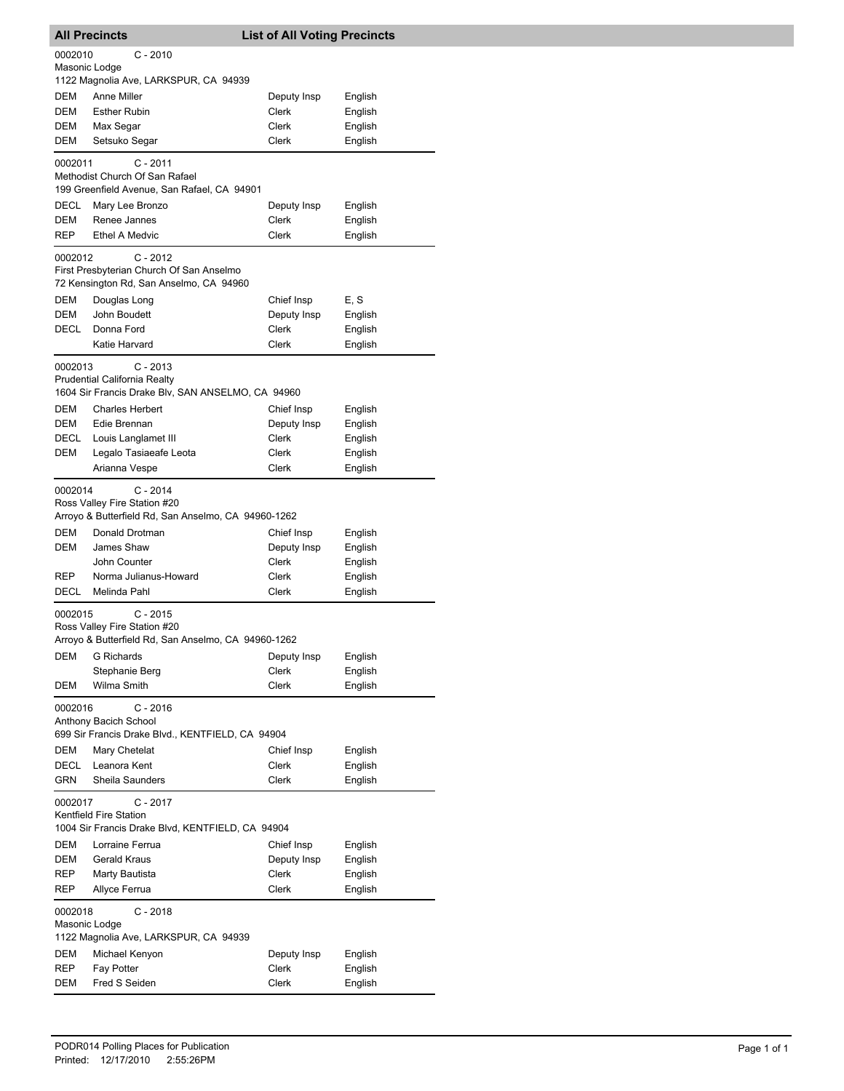|                                                                                                   | <b>All Precincts</b>                                                                                                              | <b>List of All Voting Precincts</b> |                    |  |
|---------------------------------------------------------------------------------------------------|-----------------------------------------------------------------------------------------------------------------------------------|-------------------------------------|--------------------|--|
| 0002010<br>Masonic Lodge                                                                          | $C - 2010$                                                                                                                        |                                     |                    |  |
|                                                                                                   | 1122 Magnolia Ave, LARKSPUR, CA 94939                                                                                             |                                     |                    |  |
| DEM                                                                                               | Anne Miller                                                                                                                       | Deputy Insp                         | English            |  |
| DEM                                                                                               | <b>Esther Rubin</b>                                                                                                               | Clerk                               | English            |  |
| DEM                                                                                               | Max Segar                                                                                                                         | Clerk                               | English            |  |
| DEM                                                                                               | Setsuko Segar                                                                                                                     | Clerk                               | English            |  |
| 0002011                                                                                           | $C - 2011$<br>Methodist Church Of San Rafael<br>199 Greenfield Avenue, San Rafael, CA 94901                                       |                                     |                    |  |
| DECL                                                                                              | Mary Lee Bronzo                                                                                                                   | Deputy Insp                         | English            |  |
| <b>DEM</b>                                                                                        | Renee Jannes                                                                                                                      | Clerk                               | English            |  |
| <b>REP</b>                                                                                        | <b>Ethel A Medvic</b>                                                                                                             | Clerk                               | English            |  |
| 0002012                                                                                           | $C - 2012$<br>First Presbyterian Church Of San Anselmo<br>72 Kensington Rd, San Anselmo, CA 94960                                 |                                     |                    |  |
| DEM                                                                                               | Douglas Long                                                                                                                      | Chief Insp                          | E, S               |  |
| DEM                                                                                               | John Boudett                                                                                                                      | Deputy Insp                         | English            |  |
| DECL                                                                                              | Donna Ford                                                                                                                        | Clerk                               | English            |  |
|                                                                                                   | Katie Harvard                                                                                                                     | Clerk                               | English            |  |
| 0002013                                                                                           | $C - 2013$<br>Prudential California Realty<br>1604 Sir Francis Drake Blv, SAN ANSELMO, CA 94960                                   |                                     |                    |  |
| DEM                                                                                               | <b>Charles Herbert</b>                                                                                                            | Chief Insp                          | English            |  |
| DEM                                                                                               | Edie Brennan                                                                                                                      | Deputy Insp                         | English            |  |
| DECL                                                                                              | Louis Langlamet III                                                                                                               | Clerk                               | English            |  |
| DEM                                                                                               | Legalo Tasiaeafe Leota                                                                                                            | Clerk                               | English            |  |
|                                                                                                   | Arianna Vespe                                                                                                                     | Clerk                               | English            |  |
| 0002014<br>DEM<br>DEM                                                                             | $C - 2014$<br>Ross Valley Fire Station #20<br>Arroyo & Butterfield Rd, San Anselmo, CA 94960-1262<br>Donald Drotman<br>James Shaw | Chief Insp<br>Deputy Insp           | English<br>English |  |
|                                                                                                   | John Counter                                                                                                                      | Clerk                               | English            |  |
| <b>REP</b>                                                                                        | Norma Julianus-Howard                                                                                                             | Clerk                               | English            |  |
| DECL                                                                                              | Melinda Pahl                                                                                                                      | Clerk                               | English            |  |
| 0002015                                                                                           | $C - 2015$<br>Ross Valley Fire Station #20<br>Arroyo & Butterfield Rd, San Anselmo, CA 94960-1262                                 |                                     |                    |  |
| DEM                                                                                               | <b>G</b> Richards                                                                                                                 | Deputy Insp<br>Clerk                | English<br>English |  |
| DEM                                                                                               | Stephanie Berg<br>Wilma Smith                                                                                                     | Clerk                               | English            |  |
| 0002016                                                                                           | $C - 2016$<br>Anthony Bacich School<br>699 Sir Francis Drake Blvd., KENTFIELD, CA 94904                                           |                                     |                    |  |
| DEM                                                                                               | Mary Chetelat                                                                                                                     | Chief Insp                          | English            |  |
| DECL                                                                                              | Leanora Kent                                                                                                                      | Clerk                               | English            |  |
| GRN                                                                                               | Sheila Saunders                                                                                                                   | Clerk                               | English            |  |
| 0002017<br>C - 2017<br>Kentfield Fire Station<br>1004 Sir Francis Drake Blvd, KENTFIELD, CA 94904 |                                                                                                                                   |                                     |                    |  |
| DEM                                                                                               | Lorraine Ferrua                                                                                                                   | Chief Insp                          | English            |  |
| DEM                                                                                               | <b>Gerald Kraus</b>                                                                                                               | Deputy Insp                         | English            |  |
| REP                                                                                               | Marty Bautista                                                                                                                    | Clerk                               | English            |  |
| REP                                                                                               | Allyce Ferrua                                                                                                                     | Clerk                               | English            |  |
| 0002018<br>Masonic Lodge                                                                          | $C - 2018$<br>1122 Magnolia Ave, LARKSPUR, CA 94939                                                                               |                                     |                    |  |
| DEM                                                                                               | Michael Kenyon                                                                                                                    | Deputy Insp                         | English            |  |
| REP                                                                                               | Fay Potter                                                                                                                        | Clerk                               | English            |  |
| DEM                                                                                               | Fred S Seiden                                                                                                                     | Clerk                               | English            |  |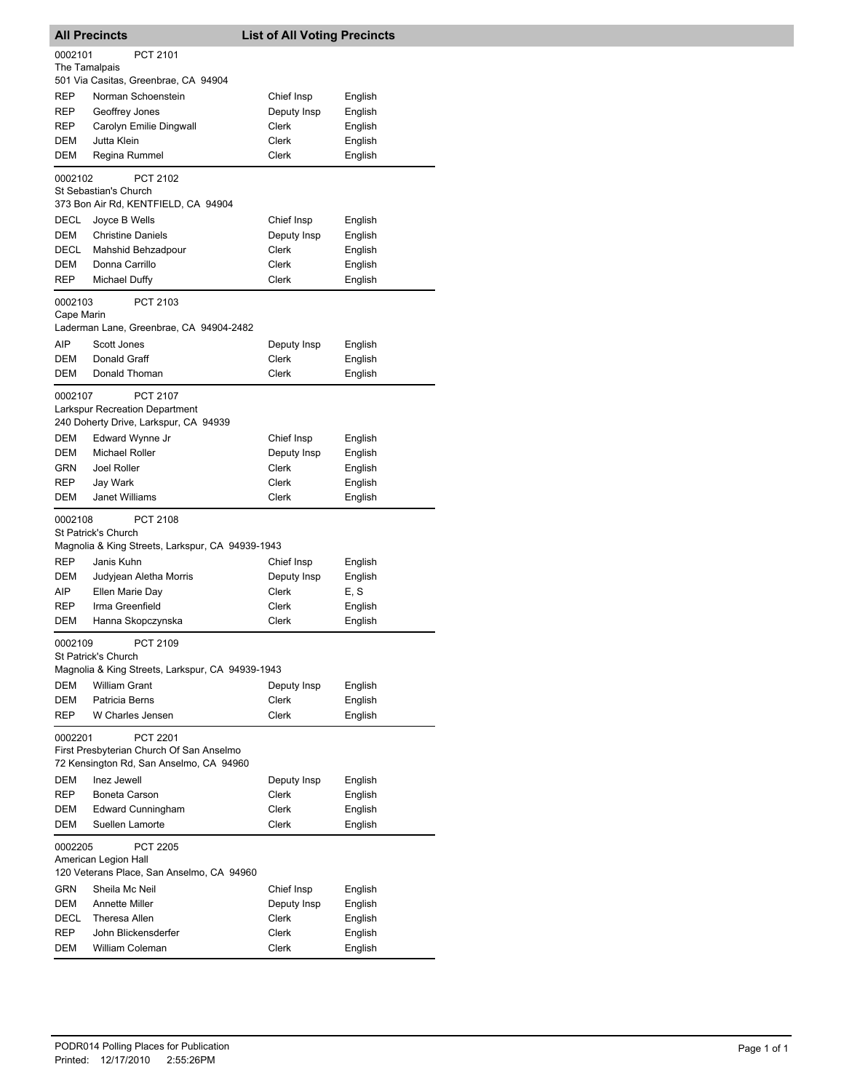|                       | <b>All Precincts</b>                                                                                   | <b>List of All Voting Precincts</b> |                    |
|-----------------------|--------------------------------------------------------------------------------------------------------|-------------------------------------|--------------------|
| 0002101               | PCT 2101                                                                                               |                                     |                    |
| The Tamalpais         |                                                                                                        |                                     |                    |
|                       | 501 Via Casitas, Greenbrae, CA 94904                                                                   |                                     |                    |
| <b>REP</b>            | Norman Schoenstein                                                                                     | Chief Insp                          | English            |
| REP<br>REP            | Geoffrey Jones                                                                                         | Deputy Insp<br>Clerk                | English            |
| DEM                   | Carolyn Emilie Dingwall<br>Jutta Klein                                                                 | Clerk                               | English<br>English |
| DEM                   | Regina Rummel                                                                                          | Clerk                               | English            |
|                       |                                                                                                        |                                     |                    |
| 0002102               | PCT 2102<br>St Sebastian's Church<br>373 Bon Air Rd, KENTFIELD, CA 94904                               |                                     |                    |
| DECL                  | Joyce B Wells                                                                                          | Chief Insp                          | English            |
| DEM                   | <b>Christine Daniels</b>                                                                               | Deputy Insp                         | English            |
| DECL                  | Mahshid Behzadpour                                                                                     | Clerk                               | English            |
| DEM                   | Donna Carrillo                                                                                         | Clerk                               | English            |
| REP                   | Michael Duffy                                                                                          | Clerk                               | English            |
| 0002103<br>Cape Marin | PCT 2103                                                                                               |                                     |                    |
|                       | Laderman Lane, Greenbrae, CA 94904-2482                                                                |                                     |                    |
| AIP                   | Scott Jones                                                                                            | Deputy Insp                         | English            |
| DEM                   | Donald Graff                                                                                           | Clerk                               | English            |
| DEM                   | Donald Thoman                                                                                          | Clerk                               | English            |
| 0002107               | <b>PCT 2107</b>                                                                                        |                                     |                    |
|                       | Larkspur Recreation Department<br>240 Doherty Drive, Larkspur, CA 94939                                |                                     |                    |
| DEM                   | Edward Wynne Jr                                                                                        | Chief Insp                          | English            |
| DEM                   | <b>Michael Roller</b>                                                                                  | Deputy Insp                         | English            |
| GRN                   | Joel Roller                                                                                            | Clerk                               | English            |
| REP                   | Jay Wark                                                                                               | Clerk                               | English            |
| <b>DEM</b>            | Janet Williams                                                                                         | Clerk                               | English            |
| 0002108               | PCT 2108                                                                                               |                                     |                    |
|                       | St Patrick's Church                                                                                    |                                     |                    |
|                       | Magnolia & King Streets, Larkspur, CA 94939-1943                                                       |                                     |                    |
| REP<br><b>DEM</b>     | Janis Kuhn<br>Judyjean Aletha Morris                                                                   | Chief Insp<br>Deputy Insp           | English<br>English |
| AIP                   | Ellen Marie Day                                                                                        | <b>Clerk</b>                        | E, S               |
| REP                   | Irma Greenfield                                                                                        | Clerk                               | English            |
| DEM                   | Hanna Skopczynska                                                                                      | Clerk                               | English            |
| 0002109               | PCT 2109                                                                                               |                                     |                    |
|                       | St Patrick's Church<br>Magnolia & King Streets, Larkspur, CA 94939-1943                                |                                     |                    |
| DEM                   | <b>William Grant</b>                                                                                   | Deputy Insp                         | English            |
| DEM                   | Patricia Berns                                                                                         | Clerk                               | English            |
| REP                   | W Charles Jensen                                                                                       | Clerk                               | English            |
| 0002201               | <b>PCT 2201</b><br>First Presbyterian Church Of San Anselmo<br>72 Kensington Rd, San Anselmo, CA 94960 |                                     |                    |
| DEM                   | Inez Jewell                                                                                            | Deputy Insp                         | English            |
| REP                   | Boneta Carson                                                                                          | Clerk                               | English            |
| DEM                   | <b>Edward Cunningham</b>                                                                               | Clerk                               | English            |
| DEM                   | Suellen Lamorte                                                                                        | Clerk                               | English            |
| 0002205               | <b>PCT 2205</b><br>American Legion Hall<br>120 Veterans Place, San Anselmo, CA 94960                   |                                     |                    |
| GRN                   | Sheila Mc Neil                                                                                         | Chief Insp                          | English            |
| DEM                   | Annette Miller                                                                                         | Deputy Insp                         | English            |
| DECL                  | Theresa Allen                                                                                          | Clerk                               | English            |
| REP                   | John Blickensderfer                                                                                    | Clerk                               | English            |
| <b>DEM</b>            | William Coleman                                                                                        | Clerk                               | English            |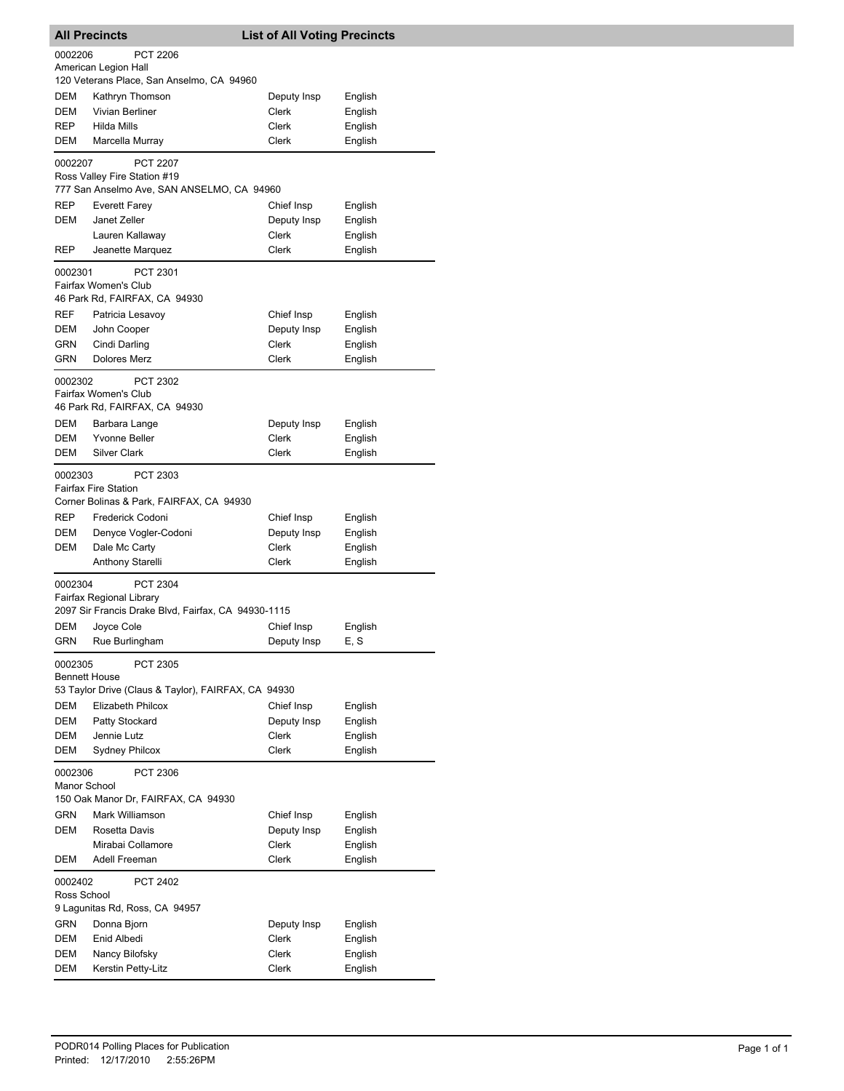| <b>All Precincts</b>    |                                                                                                                             | <b>List of All Voting Precincts</b> |                 |
|-------------------------|-----------------------------------------------------------------------------------------------------------------------------|-------------------------------------|-----------------|
| 0002206                 | PCT 2206<br>American Legion Hall                                                                                            |                                     |                 |
|                         | 120 Veterans Place, San Anselmo, CA 94960                                                                                   |                                     |                 |
| DEM                     | Kathryn Thomson                                                                                                             | Deputy Insp                         | English         |
| <b>DEM</b>              | Vivian Berliner                                                                                                             | Clerk                               | English         |
| REP                     | Hilda Mills                                                                                                                 | Clerk                               | English         |
| DEM                     | Marcella Murray                                                                                                             | Clerk                               | English         |
| 0002207                 | <b>PCT 2207</b><br>Ross Valley Fire Station #19<br>777 San Anselmo Ave, SAN ANSELMO, CA 94960                               |                                     |                 |
|                         |                                                                                                                             |                                     |                 |
| REP                     | Everett Farey                                                                                                               | Chief Insp                          | English         |
| DEM                     | Janet Zeller                                                                                                                | Deputy Insp                         | English         |
| REP                     | Lauren Kallaway<br>Jeanette Marquez                                                                                         | Clerk<br>Clerk                      | English         |
|                         |                                                                                                                             |                                     | English         |
| 0002301                 | PCT 2301<br>Fairfax Women's Club<br>46 Park Rd, FAIRFAX, CA 94930                                                           |                                     |                 |
| <b>REF</b>              | Patricia Lesavoy                                                                                                            | Chief Insp                          | English         |
| DEM                     | John Cooper                                                                                                                 | Deputy Insp                         | English         |
| GRN                     | Cindi Darling                                                                                                               | Clerk                               | English         |
| GRN                     | <b>Dolores Merz</b>                                                                                                         | Clerk                               | English         |
|                         |                                                                                                                             |                                     |                 |
| 0002302                 | PCT 2302<br>Fairfax Women's Club<br>46 Park Rd, FAIRFAX, CA 94930                                                           |                                     |                 |
| <b>DEM</b>              | Barbara Lange                                                                                                               | Deputy Insp                         | English         |
| DEM                     | <b>Yvonne Beller</b>                                                                                                        | Clerk                               | English         |
| DEM                     | <b>Silver Clark</b>                                                                                                         | Clerk                               | English         |
| 0002303<br>REP          | PCT 2303<br><b>Fairfax Fire Station</b><br>Corner Bolinas & Park, FAIRFAX, CA 94930<br>Frederick Codoni                     | Chief Insp                          | English         |
| DEM                     | Denyce Vogler-Codoni                                                                                                        | Deputy Insp                         | English         |
| DEM                     | Dale Mc Carty                                                                                                               | Clerk                               | English         |
|                         | Anthony Starelli                                                                                                            | Clerk                               | English         |
| 0002304<br>DEM<br>GRN   | PCT 2304<br>Fairfax Regional Library<br>2097 Sir Francis Drake Blvd, Fairfax, CA 94930-1115<br>Joyce Cole<br>Rue Burlingham | Chief Insp<br>Deputy Insp           | English<br>E, S |
| 0002305                 | PCT 2305                                                                                                                    |                                     |                 |
| Bennett House           |                                                                                                                             |                                     |                 |
|                         | 53 Taylor Drive (Claus & Taylor), FAIRFAX, CA 94930                                                                         |                                     |                 |
| <b>DEM</b>              | Elizabeth Philcox                                                                                                           | Chief Insp                          | English         |
| DEM                     | Patty Stockard                                                                                                              | Deputy Insp                         | English         |
| DEM                     | Jennie Lutz                                                                                                                 | <b>Clerk</b>                        | English         |
| DEM                     | <b>Sydney Philcox</b>                                                                                                       | Clerk                               | English         |
| 0002306<br>Manor School | PCT 2306                                                                                                                    |                                     |                 |
|                         | 150 Oak Manor Dr, FAIRFAX, CA 94930                                                                                         |                                     |                 |
| GRN                     | Mark Williamson                                                                                                             | Chief Insp                          | English         |
| DEM                     | Rosetta Davis                                                                                                               | Deputy Insp                         | English         |
|                         | Mirabai Collamore                                                                                                           | Clerk                               | English         |
| DEM                     | Adell Freeman                                                                                                               | Clerk                               | English         |
| 0002402<br>Ross School  | PCT 2402                                                                                                                    |                                     |                 |
|                         | 9 Lagunitas Rd, Ross, CA 94957                                                                                              |                                     |                 |
| GRN                     | Donna Bjorn                                                                                                                 | Deputy Insp                         | English         |
| DEM                     | Enid Albedi                                                                                                                 | Clerk                               | English         |
| DEM                     | Nancy Bilofsky                                                                                                              | Clerk                               | English         |
| DEM                     | Kerstin Petty-Litz                                                                                                          | Clerk                               | English         |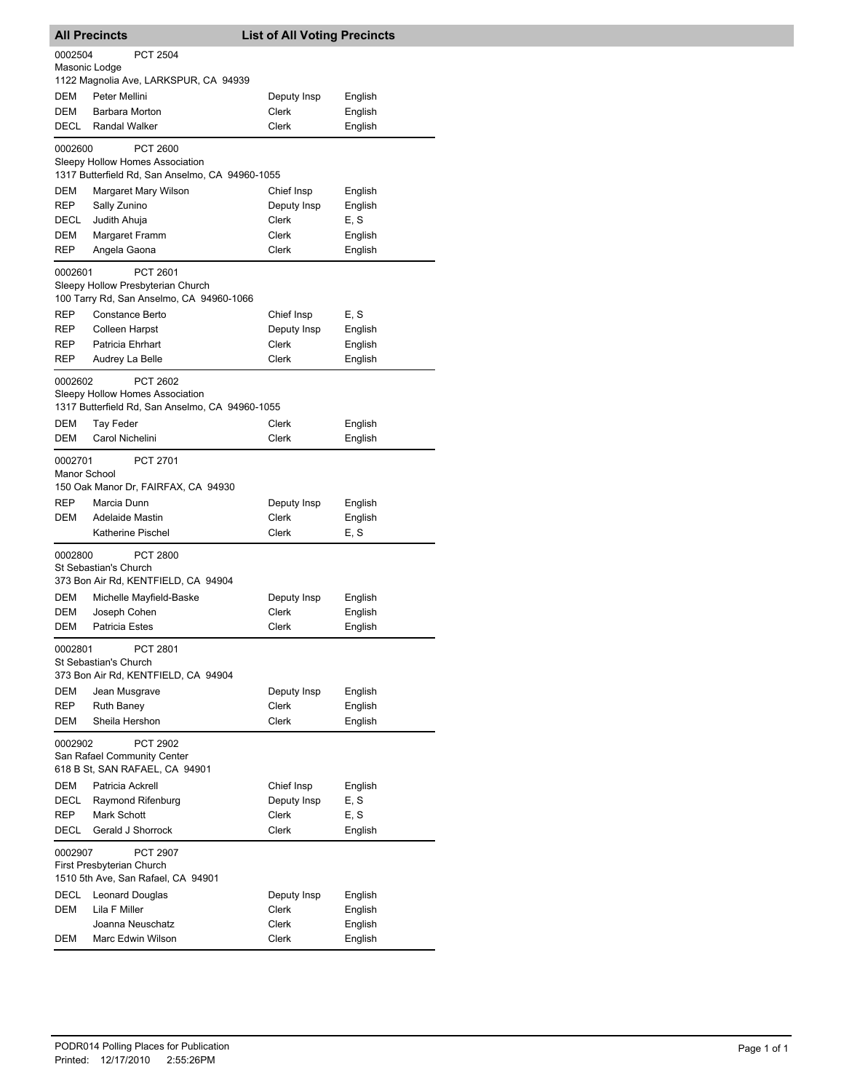| <b>All Precincts</b>                         |                                                                                                       | <b>List of All Voting Precincts</b> |                    |
|----------------------------------------------|-------------------------------------------------------------------------------------------------------|-------------------------------------|--------------------|
| 0002504<br>Masonic Lodge                     | <b>PCT 2504</b>                                                                                       |                                     |                    |
|                                              | 1122 Magnolia Ave, LARKSPUR, CA 94939                                                                 |                                     |                    |
| DEM                                          | Peter Mellini                                                                                         | Deputy Insp                         | English            |
| <b>DEM</b>                                   | Barbara Morton                                                                                        | Clerk                               | English            |
| DECL                                         | <b>Randal Walker</b>                                                                                  | Clerk                               | English            |
| 0002600                                      | <b>PCT 2600</b><br>Sleepy Hollow Homes Association<br>1317 Butterfield Rd, San Anselmo, CA 94960-1055 |                                     |                    |
|                                              |                                                                                                       | Chief Insp                          |                    |
| DEM<br>REP                                   | Margaret Mary Wilson                                                                                  |                                     | English            |
|                                              | Sally Zunino                                                                                          | Deputy Insp                         | English            |
| DECL                                         | Judith Ahuja                                                                                          | Clerk                               | E, S               |
| DEM                                          | Margaret Framm                                                                                        | Clerk                               | English            |
| REP                                          | Angela Gaona                                                                                          | Clerk                               | English            |
| 0002601                                      | PCT 2601<br>Sleepy Hollow Presbyterian Church<br>100 Tarry Rd, San Anselmo, CA 94960-1066             |                                     |                    |
| REP                                          | <b>Constance Berto</b>                                                                                | Chief Insp                          | E, S               |
| REP                                          | Colleen Harpst                                                                                        | Deputy Insp                         | English            |
| REP                                          | Patricia Ehrhart                                                                                      | Clerk                               | English            |
| REP                                          | Audrey La Belle                                                                                       | <b>Clerk</b>                        | English            |
| 0002602                                      | PCT 2602<br>Sleepy Hollow Homes Association<br>1317 Butterfield Rd, San Anselmo, CA 94960-1055        |                                     |                    |
| DEM                                          | Tay Feder                                                                                             | Clerk                               | English            |
| DEM                                          | Carol Nichelini                                                                                       | Clerk                               | English            |
| 0002701<br>Manor School<br><b>REP</b><br>DEM | PCT 2701<br>150 Oak Manor Dr, FAIRFAX, CA 94930<br>Marcia Dunn<br><b>Adelaide Mastin</b>              | Deputy Insp<br>Clerk                | English<br>English |
|                                              | Katherine Pischel                                                                                     | Clerk                               | E, S               |
|                                              |                                                                                                       |                                     |                    |
| 0002800                                      | PCT 2800<br>St Sebastian's Church<br>373 Bon Air Rd, KENTFIELD, CA 94904                              |                                     |                    |
| DEM                                          | Michelle Mayfield-Baske                                                                               | Deputy Insp                         | English            |
| DEM                                          | Joseph Cohen                                                                                          | Clerk                               | English            |
| DEM                                          | <b>Patricia Estes</b>                                                                                 | Clerk                               | English            |
| 0002801                                      | PCT 2801<br>St Sebastian's Church<br>373 Bon Air Rd, KENTFIELD, CA 94904                              |                                     |                    |
| DEM                                          | Jean Musgrave                                                                                         | Deputy Insp                         | English            |
| REP                                          | <b>Ruth Baney</b>                                                                                     | Clerk                               | English            |
| <b>DEM</b>                                   | Sheila Hershon                                                                                        | Clerk                               | English            |
| 0002902                                      | <b>PCT 2902</b><br>San Rafael Community Center<br>618 B St, SAN RAFAEL, CA 94901                      |                                     |                    |
| <b>DEM</b>                                   | Patricia Ackrell                                                                                      | Chief Insp                          | English            |
| DECL                                         | Raymond Rifenburg                                                                                     | Deputy Insp                         | E, S               |
| REP                                          | Mark Schott                                                                                           | Clerk                               | E, S               |
| DECL                                         | Gerald J Shorrock                                                                                     | Clerk                               | English            |
| 0002907                                      | PCT 2907<br>First Presbyterian Church                                                                 |                                     |                    |
|                                              | 1510 5th Ave, San Rafael, CA 94901                                                                    |                                     |                    |
| DECL                                         | Leonard Douglas                                                                                       | Deputy Insp                         | English            |
| DEM                                          | Lila F Miller                                                                                         | Clerk                               | English            |
|                                              | Joanna Neuschatz                                                                                      | Clerk                               | English            |
| DEM                                          | Marc Edwin Wilson                                                                                     | Clerk                               | English            |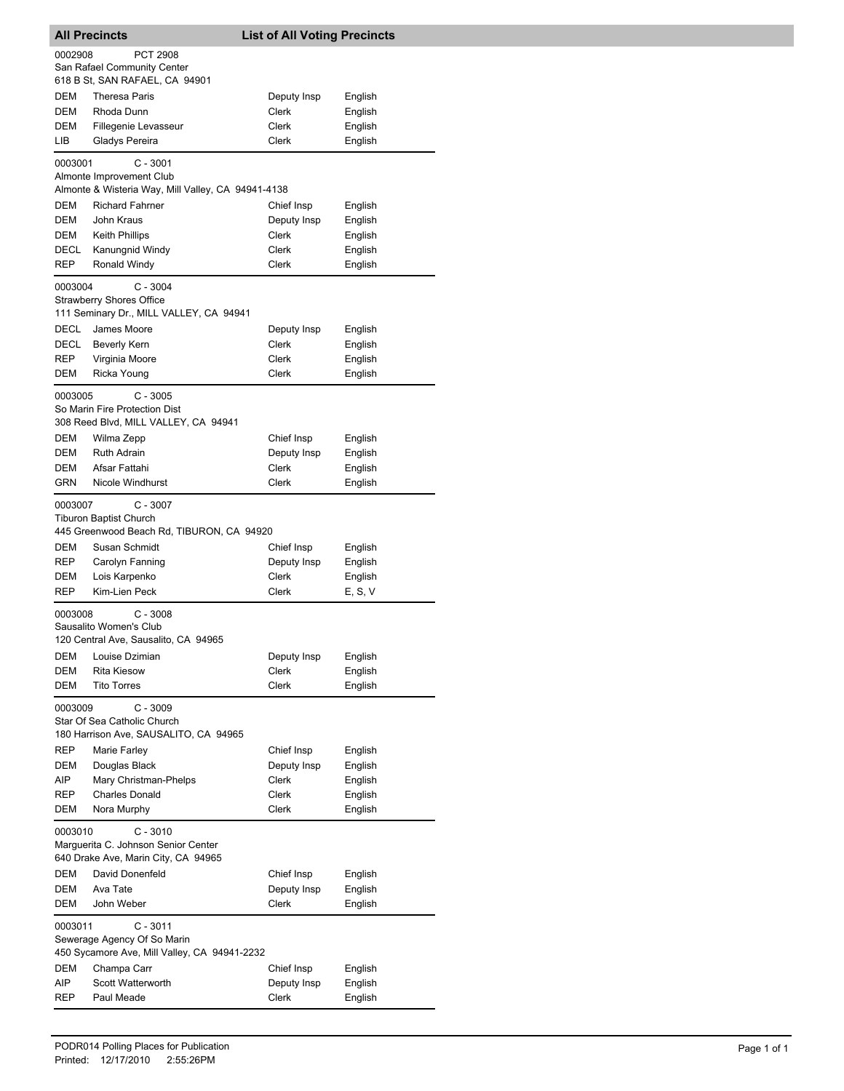| <b>All Precincts</b> |                                                                                                      | <b>List of All Voting Precincts</b> |                    |  |  |
|----------------------|------------------------------------------------------------------------------------------------------|-------------------------------------|--------------------|--|--|
| 0002908              | <b>PCT 2908</b>                                                                                      |                                     |                    |  |  |
|                      | San Rafael Community Center                                                                          |                                     |                    |  |  |
| <b>DEM</b>           | 618 B St, SAN RAFAEL, CA 94901<br><b>Theresa Paris</b>                                               |                                     |                    |  |  |
| <b>DEM</b>           | Rhoda Dunn                                                                                           | Deputy Insp<br>Clerk                | English<br>English |  |  |
| DEM                  | Fillegenie Levasseur                                                                                 | Clerk                               | English            |  |  |
| LІВ                  | Gladys Pereira                                                                                       | Clerk                               | English            |  |  |
| 0003001              | $C - 3001$                                                                                           |                                     |                    |  |  |
|                      | Almonte Improvement Club<br>Almonte & Wisteria Way, Mill Valley, CA 94941-4138                       |                                     |                    |  |  |
| <b>DEM</b>           | <b>Richard Fahrner</b>                                                                               | Chief Insp                          | English            |  |  |
| DEM                  | John Kraus                                                                                           | Deputy Insp                         | English            |  |  |
| DEM                  | <b>Keith Phillips</b>                                                                                | Clerk                               | English            |  |  |
| DECL                 | Kanungnid Windy                                                                                      | Clerk                               | English            |  |  |
| <b>REP</b>           | Ronald Windy                                                                                         | Clerk                               | English            |  |  |
| 0003004              | $C - 3004$<br><b>Strawberry Shores Office</b><br>111 Seminary Dr., MILL VALLEY, CA 94941             |                                     |                    |  |  |
| DECL                 | James Moore                                                                                          | Deputy Insp                         | English            |  |  |
| DECL                 | Beverly Kern                                                                                         | Clerk                               | English            |  |  |
| REP                  | Virginia Moore                                                                                       | Clerk                               | English            |  |  |
| DEM                  | Ricka Young                                                                                          | Clerk                               | English            |  |  |
| 0003005              | $C - 3005$<br>So Marin Fire Protection Dist<br>308 Reed Blvd, MILL VALLEY, CA 94941                  |                                     |                    |  |  |
| DEM                  | Wilma Zepp                                                                                           | Chief Insp                          | English            |  |  |
| DEM                  | <b>Ruth Adrain</b>                                                                                   | Deputy Insp                         | English            |  |  |
| DEM                  | Afsar Fattahi                                                                                        | Clerk                               | English            |  |  |
| <b>GRN</b>           | <b>Nicole Windhurst</b>                                                                              | Clerk                               | English            |  |  |
| 0003007              | $C - 3007$<br><b>Tiburon Baptist Church</b><br>445 Greenwood Beach Rd, TIBURON, CA 94920             |                                     |                    |  |  |
| DEM                  | Susan Schmidt                                                                                        | Chief Insp                          | English            |  |  |
| REP                  | Carolyn Fanning                                                                                      | Deputy Insp                         | English            |  |  |
| DEM                  | Lois Karpenko                                                                                        | Clerk                               | English            |  |  |
| REP                  | Kim-Lien Peck                                                                                        | Clerk                               | E, S, V            |  |  |
| 0003008              | $C - 3008$<br>Sausalito Women's Club<br>120 Central Ave, Sausalito, CA 94965                         |                                     |                    |  |  |
| DEM                  | Louise Dzimian                                                                                       | Deputy Insp                         | English            |  |  |
| DEM                  | <b>Rita Kiesow</b>                                                                                   | Clerk                               | English            |  |  |
| <b>DEM</b>           | <b>Tito Torres</b>                                                                                   | Clerk                               | English            |  |  |
| 0003009              | $C - 3009$<br>Star Of Sea Catholic Church<br>180 Harrison Ave, SAUSALITO, CA 94965                   |                                     |                    |  |  |
| <b>REP</b>           | Marie Farley                                                                                         | Chief Insp                          | English            |  |  |
| DEM                  | Douglas Black                                                                                        | Deputy Insp                         | English            |  |  |
| AIP                  | Mary Christman-Phelps                                                                                | Clerk                               | English            |  |  |
| REP                  | <b>Charles Donald</b>                                                                                | Clerk                               | English            |  |  |
| DEM                  | Nora Murphy                                                                                          | Clerk                               | English            |  |  |
| 0003010              | $C - 3010$<br>Marguerita C. Johnson Senior Center<br>640 Drake Ave, Marin City, CA 94965             |                                     |                    |  |  |
| DEM                  | David Donenfeld                                                                                      | Chief Insp                          | English            |  |  |
| DEM                  | Ava Tate                                                                                             | Deputy Insp                         | English            |  |  |
| DEM                  | John Weber                                                                                           | Clerk                               | English            |  |  |
|                      | $C - 3011$<br>0003011<br>Sewerage Agency Of So Marin<br>450 Sycamore Ave, Mill Valley, CA 94941-2232 |                                     |                    |  |  |
| DEM                  | Champa Carr                                                                                          | Chief Insp                          | English            |  |  |
| AIP                  | Scott Watterworth                                                                                    | Deputy Insp                         | English            |  |  |
| REP                  | Paul Meade                                                                                           | Clerk                               | English            |  |  |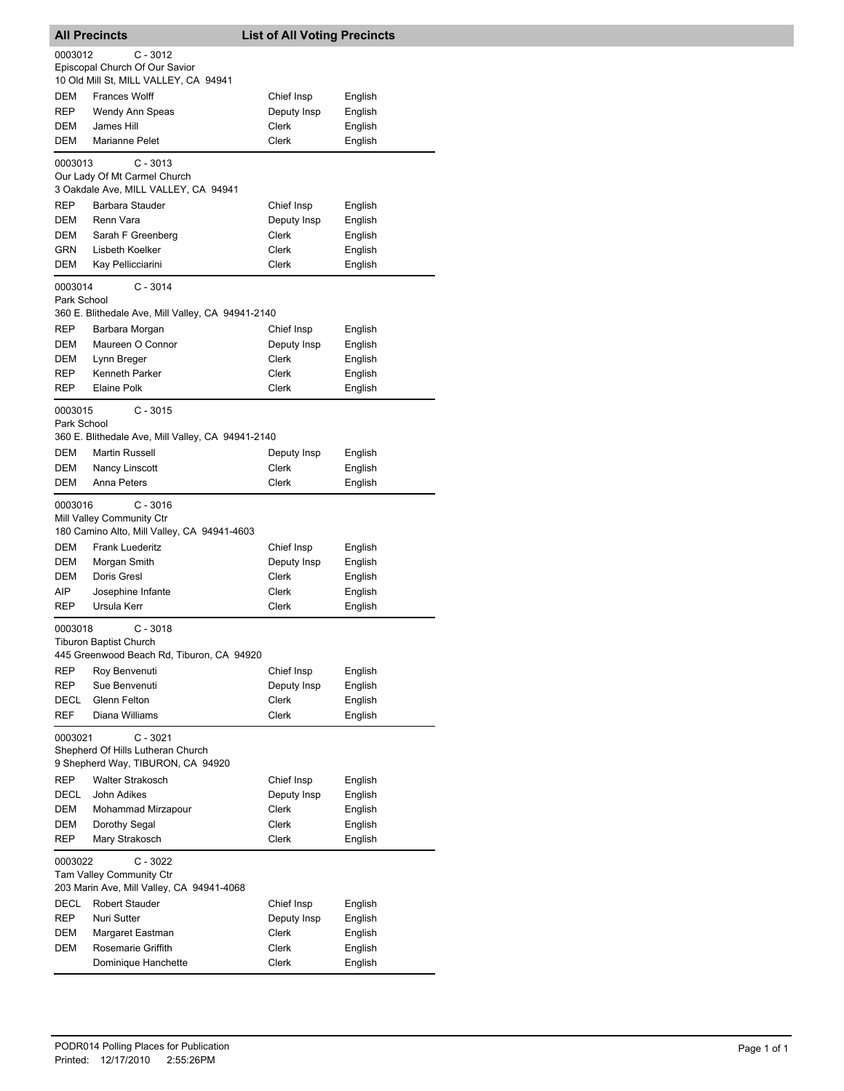|             | <b>All Precincts</b>                                                                       | <b>List of All Voting Precincts</b> |                    |
|-------------|--------------------------------------------------------------------------------------------|-------------------------------------|--------------------|
| 0003012     | $C - 3012$                                                                                 |                                     |                    |
|             | Episcopal Church Of Our Savior<br>10 Old Mill St, MILL VALLEY, CA 94941                    |                                     |                    |
| DEM         | <b>Frances Wolff</b>                                                                       | Chief Insp                          | English            |
| REP         | Wendy Ann Speas                                                                            | Deputy Insp                         | English            |
| DEM         | James Hill                                                                                 | Clerk                               | English            |
| DEM         | Marianne Pelet                                                                             | Clerk                               | English            |
| 0003013     | $C - 3013$                                                                                 |                                     |                    |
|             | Our Lady Of Mt Carmel Church<br>3 Oakdale Ave, MILL VALLEY, CA 94941                       |                                     |                    |
| <b>REP</b>  | Barbara Stauder                                                                            | Chief Insp                          | English            |
| DEM         | Renn Vara                                                                                  | Deputy Insp                         | English            |
| DEM         | Sarah F Greenberg                                                                          | Clerk                               | English            |
| <b>GRN</b>  | Lisbeth Koelker                                                                            | Clerk                               | English            |
| DEM         | Kay Pellicciarini                                                                          | Clerk                               | English            |
| 0003014     | $C - 3014$                                                                                 |                                     |                    |
| Park School | 360 E. Blithedale Ave, Mill Valley, CA 94941-2140                                          |                                     |                    |
| REP         | Barbara Morgan                                                                             | Chief Insp                          | English            |
| DEM         | Maureen O Connor                                                                           | Deputy Insp                         | English            |
| DEM         | Lynn Breger                                                                                | Clerk                               | English            |
| REP         | Kenneth Parker                                                                             | Clerk                               | English            |
| <b>REP</b>  | Elaine Polk                                                                                | Clerk                               | English            |
| 0003015     | $C - 3015$                                                                                 |                                     |                    |
| Park School |                                                                                            |                                     |                    |
| DEM         | 360 E. Blithedale Ave, Mill Valley, CA 94941-2140<br><b>Martin Russell</b>                 |                                     |                    |
| DEM         | Nancy Linscott                                                                             | Deputy Insp<br>Clerk                | English<br>English |
| DEM         | Anna Peters                                                                                | Clerk                               | English            |
| 0003016     | $C - 3016$<br>Mill Valley Community Ctr<br>180 Camino Alto, Mill Valley, CA 94941-4603     |                                     |                    |
| DEM         | <b>Frank Luederitz</b>                                                                     | Chief Insp                          | English            |
| DEM         | Morgan Smith                                                                               | Deputy Insp                         | English            |
| DEM         | Doris Gresl                                                                                | <b>Clerk</b>                        | English            |
| AIP         | Josephine Infante                                                                          | Clerk                               | English            |
| REP         | Ursula Kerr                                                                                | Clerk                               | English            |
| 0003018     | $C - 3018$<br>Tiburon Baptist Church<br>445 Greenwood Beach Rd, Tiburon, CA 94920          |                                     |                    |
| <b>REP</b>  | Roy Benvenuti                                                                              | Chief Insp                          | English            |
| REP         | Sue Benvenuti                                                                              | Deputy Insp                         | English            |
| DECL        | Glenn Felton                                                                               | Clerk                               | English            |
| <b>REF</b>  | Diana Williams                                                                             | Clerk                               | English            |
| 0003021     | $C - 3021$<br>Shepherd Of Hills Lutheran Church<br>9 Shepherd Way, TIBURON, CA 94920       |                                     |                    |
| REP         | <b>Walter Strakosch</b>                                                                    | Chief Insp                          | English            |
| DECL        | John Adikes                                                                                | Deputy Insp                         | English            |
| DEM         | Mohammad Mirzapour                                                                         | Clerk                               | English            |
| DEM         | Dorothy Segal                                                                              | Clerk                               | English            |
| REP         | Mary Strakosch                                                                             | Clerk                               | English            |
| 0003022     | $C - 3022$<br><b>Tam Valley Community Ctr</b><br>203 Marin Ave, Mill Valley, CA 94941-4068 |                                     |                    |
| DECL        | Robert Stauder                                                                             | Chief Insp                          | English            |
| REP         | Nuri Sutter                                                                                | Deputy Insp                         | English            |
| DEM         | Margaret Eastman                                                                           | Clerk                               | English            |
| DEM         | Rosemarie Griffith                                                                         | Clerk                               | English            |
|             | Dominique Hanchette                                                                        | Clerk                               | English            |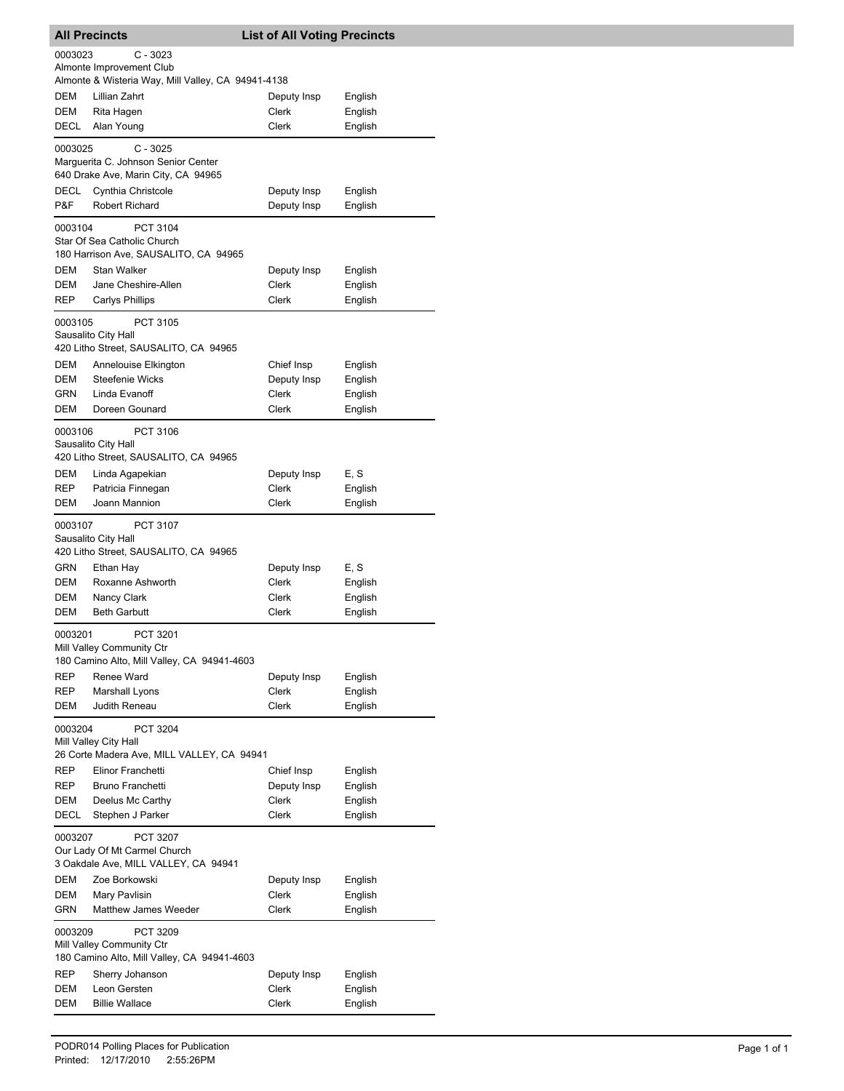| <b>All Precincts</b>  |                                                                                                                     | <b>List of All Voting Precincts</b> |                    |
|-----------------------|---------------------------------------------------------------------------------------------------------------------|-------------------------------------|--------------------|
| 0003023               | C - 3023                                                                                                            |                                     |                    |
|                       | Almonte Improvement Club                                                                                            |                                     |                    |
|                       | Almonte & Wisteria Way, Mill Valley, CA 94941-4138                                                                  |                                     |                    |
| DEM                   | Lillian Zahrt                                                                                                       | Deputy Insp                         | English            |
| DEM                   | Rita Hagen                                                                                                          | Clerk                               | English            |
| DECL                  | Alan Young                                                                                                          | Clerk                               | English            |
| 0003025               | $C - 3025$<br>Marguerita C. Johnson Senior Center<br>640 Drake Ave, Marin City, CA 94965                            |                                     |                    |
| DECL                  | Cynthia Christcole                                                                                                  | Deputy Insp                         | English            |
| P&F                   | Robert Richard                                                                                                      | Deputy Insp                         | English            |
| 0003104               | PCT 3104<br>Star Of Sea Catholic Church<br>180 Harrison Ave, SAUSALITO, CA 94965                                    |                                     |                    |
| DEM                   | <b>Stan Walker</b>                                                                                                  | Deputy Insp                         | English            |
| DEM                   | Jane Cheshire-Allen                                                                                                 | Clerk                               | English            |
| REP                   | Carlys Phillips                                                                                                     | Clerk                               | English            |
| 0003105<br>DEM<br>DEM | PCT 3105<br>Sausalito City Hall<br>420 Litho Street, SAUSALITO, CA 94965<br>Annelouise Elkington<br>Steefenie Wicks | Chief Insp<br>Deputy Insp           | English<br>English |
| <b>GRN</b>            | Linda Evanoff                                                                                                       | Clerk                               | English            |
| DEM                   | Doreen Gounard                                                                                                      | Clerk                               | English            |
| 0003106               | PCT 3106<br>Sausalito City Hall<br>420 Litho Street, SAUSALITO, CA 94965                                            |                                     |                    |
| DEM                   | Linda Agapekian                                                                                                     | Deputy Insp                         | E, S               |
| REP                   | Patricia Finnegan                                                                                                   | Clerk                               | English            |
| <b>DEM</b>            | Joann Mannion                                                                                                       | Clerk                               | English            |
| 0003107               | <b>PCT 3107</b><br>Sausalito City Hall<br>420 Litho Street, SAUSALITO, CA 94965                                     |                                     |                    |
| GRN                   | Ethan Hay                                                                                                           | Deputy Insp                         | E, S               |
| DEM                   | Roxanne Ashworth                                                                                                    | Clerk                               | English            |
| DEM                   | Nancy Clark                                                                                                         | Clerk                               | English            |
| DEM                   | <b>Beth Garbutt</b>                                                                                                 | Clerk                               | English            |
| 0003201               | PCT 3201<br>Mill Valley Community Ctr<br>180 Camino Alto, Mill Valley, CA 94941-4603                                |                                     |                    |
| REP                   | Renee Ward                                                                                                          | Deputy Insp                         | English            |
| REP                   | Marshall Lyons                                                                                                      | Clerk                               | English            |
| DEM                   | Judith Reneau                                                                                                       | Clerk                               | English            |
| 0003204<br>REP        | PCT 3204<br>Mill Valley City Hall<br>26 Corte Madera Ave, MILL VALLEY, CA 94941<br>Elinor Franchetti                | Chief Insp                          | English            |
| REP                   | Bruno Franchetti                                                                                                    | Deputy Insp                         | English            |
| DEM                   | Deelus Mc Carthy                                                                                                    | Clerk                               | English            |
| DECL                  | Stephen J Parker                                                                                                    | <b>Clerk</b>                        | English            |
| 0003207               | PCT 3207<br>Our Lady Of Mt Carmel Church<br>3 Oakdale Ave, MILL VALLEY, CA 94941                                    |                                     |                    |
| DEM                   | Zoe Borkowski                                                                                                       | Deputy Insp                         | English            |
| DEM                   | Mary Pavlisin                                                                                                       | Clerk                               | English            |
| GRN                   | Matthew James Weeder                                                                                                | Clerk                               | English            |
| 0003209               | PCT 3209<br>Mill Valley Community Ctr<br>180 Camino Alto, Mill Valley, CA 94941-4603                                |                                     |                    |
| REP                   | Sherry Johanson                                                                                                     | Deputy Insp                         | English            |
| DEM                   | Leon Gersten                                                                                                        | Clerk                               | English            |
| DEM                   | <b>Billie Wallace</b>                                                                                               | Clerk                               | English            |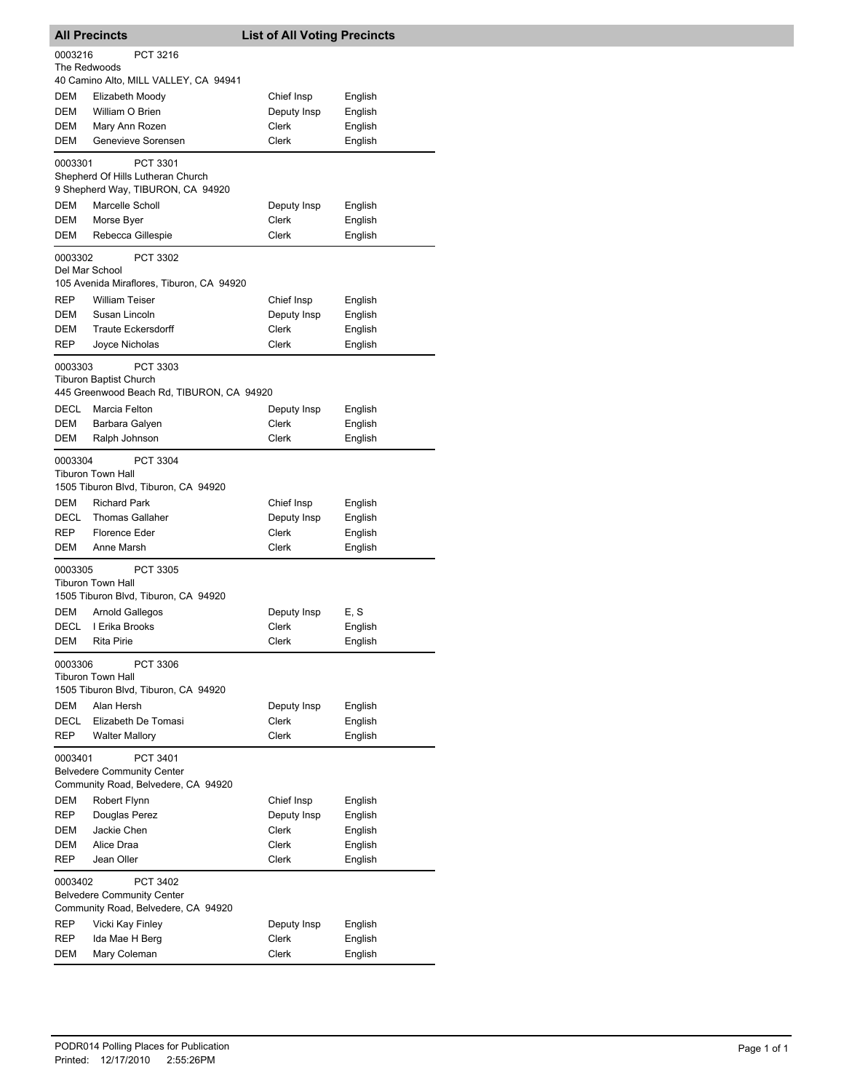| <b>All Precincts</b>                                                                            |                                                                                        | <b>List of All Voting Precincts</b> |                    |  |  |
|-------------------------------------------------------------------------------------------------|----------------------------------------------------------------------------------------|-------------------------------------|--------------------|--|--|
|                                                                                                 | 0003216<br>PCT 3216<br>The Redwoods                                                    |                                     |                    |  |  |
| DEM                                                                                             | 40 Camino Alto, MILL VALLEY, CA 94941<br>Elizabeth Moody                               | Chief Insp                          | English            |  |  |
| DEM                                                                                             | William O Brien                                                                        | Deputy Insp                         | English            |  |  |
| <b>DEM</b>                                                                                      | Mary Ann Rozen                                                                         | Clerk                               | English            |  |  |
| DEM                                                                                             | Genevieve Sorensen                                                                     | <b>Clerk</b>                        | English            |  |  |
| 0003301                                                                                         | PCT 3301<br>Shepherd Of Hills Lutheran Church                                          |                                     |                    |  |  |
|                                                                                                 | 9 Shepherd Way, TIBURON, CA 94920                                                      |                                     |                    |  |  |
| DEM                                                                                             | Marcelle Scholl                                                                        | Deputy Insp                         | English            |  |  |
| <b>DEM</b>                                                                                      | Morse Byer                                                                             | Clerk                               | English            |  |  |
| DEM                                                                                             | Rebecca Gillespie                                                                      | Clerk                               | English            |  |  |
| 0003302<br>Del Mar School                                                                       | PCT 3302<br>105 Avenida Miraflores, Tiburon, CA 94920                                  |                                     |                    |  |  |
| REP                                                                                             | <b>William Teiser</b>                                                                  | Chief Insp                          | English            |  |  |
| <b>DEM</b>                                                                                      | Susan Lincoln                                                                          | Deputy Insp                         | English            |  |  |
| DEM                                                                                             | <b>Traute Eckersdorff</b>                                                              | Clerk                               | English            |  |  |
| REP                                                                                             | <b>Joyce Nicholas</b>                                                                  | Clerk                               | English            |  |  |
| 0003303                                                                                         | PCT 3303<br><b>Tiburon Baptist Church</b><br>445 Greenwood Beach Rd, TIBURON, CA 94920 |                                     |                    |  |  |
| DECL                                                                                            | Marcia Felton                                                                          | Deputy Insp                         | English            |  |  |
| DEM                                                                                             | Barbara Galyen                                                                         | <b>Clerk</b>                        | English            |  |  |
| DEM                                                                                             | Ralph Johnson                                                                          | Clerk                               | English            |  |  |
| 0003304                                                                                         | PCT 3304<br><b>Tiburon Town Hall</b><br>1505 Tiburon Blvd, Tiburon, CA 94920           |                                     |                    |  |  |
| DEM                                                                                             | <b>Richard Park</b>                                                                    | Chief Insp                          | English            |  |  |
| DECL                                                                                            | <b>Thomas Gallaher</b>                                                                 | Deputy Insp                         | English            |  |  |
| REP                                                                                             | <b>Florence Eder</b>                                                                   | Clerk                               | English            |  |  |
| DEM                                                                                             | Anne Marsh                                                                             | Clerk                               | English            |  |  |
| 0003305                                                                                         | PCT 3305<br><b>Tiburon Town Hall</b><br>1505 Tiburon Blvd, Tiburon, CA 94920           |                                     |                    |  |  |
| DEM                                                                                             | Arnold Gallegos                                                                        | Deputy Insp                         | E, S               |  |  |
| DECL                                                                                            | I Erika Brooks                                                                         | Clerk                               | English            |  |  |
| DEM                                                                                             | Rita Pirie                                                                             | Clerk                               | English            |  |  |
| 0003306                                                                                         | PCT 3306<br><b>Tiburon Town Hall</b><br>1505 Tiburon Blvd, Tiburon, CA 94920           |                                     |                    |  |  |
| <b>DEM</b>                                                                                      | Alan Hersh                                                                             | Deputy Insp                         | English            |  |  |
| DECL                                                                                            | Elizabeth De Tomasi                                                                    | Clerk                               | English            |  |  |
| REP                                                                                             | <b>Walter Mallory</b>                                                                  | Clerk                               | English            |  |  |
| PCT 3401<br>0003401<br><b>Belvedere Community Center</b><br>Community Road, Belvedere, CA 94920 |                                                                                        |                                     |                    |  |  |
| DEM                                                                                             | Robert Flynn                                                                           | Chief Insp                          | English            |  |  |
| REP                                                                                             | Douglas Perez                                                                          | Deputy Insp                         | English            |  |  |
| DEM                                                                                             | Jackie Chen                                                                            | Clerk                               | English            |  |  |
| DEM                                                                                             | Alice Draa                                                                             | Clerk                               | English            |  |  |
| REP                                                                                             | Jean Oller                                                                             | Clerk                               | English            |  |  |
| 0003402<br>PCT 3402<br><b>Belvedere Community Center</b><br>Community Road, Belvedere, CA 94920 |                                                                                        |                                     |                    |  |  |
| REP                                                                                             | Vicki Kay Finley                                                                       | Deputy Insp                         | English            |  |  |
| REP<br>DEM                                                                                      | Ida Mae H Berg<br>Mary Coleman                                                         | Clerk<br>Clerk                      | English<br>English |  |  |
|                                                                                                 |                                                                                        |                                     |                    |  |  |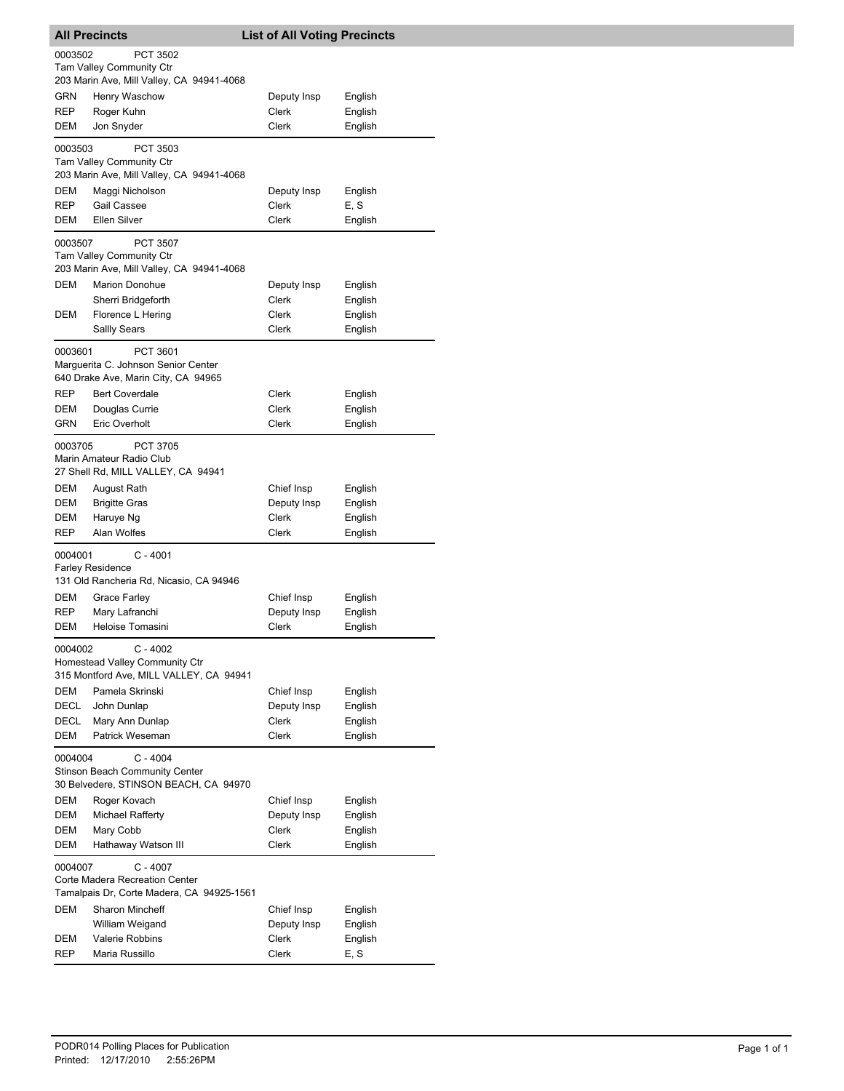| <b>All Precincts</b>                                                                                    |                                                                                         | <b>List of All Voting Precincts</b> |                    |  |
|---------------------------------------------------------------------------------------------------------|-----------------------------------------------------------------------------------------|-------------------------------------|--------------------|--|
| 0003502                                                                                                 | PCT 3502                                                                                |                                     |                    |  |
|                                                                                                         | Tam Valley Community Ctr                                                                |                                     |                    |  |
|                                                                                                         | 203 Marin Ave, Mill Valley, CA 94941-4068                                               |                                     |                    |  |
| GRN<br>REP                                                                                              | Henry Waschow<br>Roger Kuhn                                                             | Deputy Insp<br>Clerk                | English<br>English |  |
| DEM                                                                                                     | Jon Snyder                                                                              | Clerk                               | English            |  |
|                                                                                                         |                                                                                         |                                     |                    |  |
| 0003503                                                                                                 | PCT 3503<br>Tam Valley Community Ctr                                                    |                                     |                    |  |
|                                                                                                         | 203 Marin Ave, Mill Valley, CA 94941-4068                                               |                                     |                    |  |
| <b>DEM</b>                                                                                              | Maggi Nicholson                                                                         | Deputy Insp                         | English            |  |
| <b>REP</b>                                                                                              | Gail Cassee                                                                             | Clerk                               | E, S               |  |
| DEM                                                                                                     | Ellen Silver                                                                            | Clerk                               | English            |  |
| 0003507                                                                                                 | <b>PCT 3507</b>                                                                         |                                     |                    |  |
|                                                                                                         | Tam Valley Community Ctr<br>203 Marin Ave, Mill Valley, CA 94941-4068                   |                                     |                    |  |
| DEM                                                                                                     | Marion Donohue                                                                          | Deputy Insp                         | English            |  |
|                                                                                                         | Sherri Bridgeforth                                                                      | Clerk                               | English            |  |
| DEM                                                                                                     | Florence L Hering                                                                       | Clerk                               | English            |  |
|                                                                                                         | Sallly Sears                                                                            | Clerk                               | English            |  |
| 0003601                                                                                                 | PCT 3601<br>Marguerita C. Johnson Senior Center<br>640 Drake Ave, Marin City, CA 94965  |                                     |                    |  |
| <b>REP</b>                                                                                              | <b>Bert Coverdale</b>                                                                   | Clerk                               | English            |  |
| DEM                                                                                                     | Douglas Currie                                                                          | Clerk                               | English            |  |
| GRN                                                                                                     | <b>Eric Overholt</b>                                                                    | Clerk                               | English            |  |
| 0003705                                                                                                 | PCT 3705<br>Marin Amateur Radio Club<br>27 Shell Rd, MILL VALLEY, CA 94941              |                                     |                    |  |
| DEM                                                                                                     | August Rath                                                                             | Chief Insp                          | English            |  |
| <b>DEM</b>                                                                                              | <b>Brigitte Gras</b>                                                                    | Deputy Insp                         | English            |  |
| DEM<br><b>REP</b>                                                                                       | Haruye Ng<br>Alan Wolfes                                                                | Clerk<br>Clerk                      | English            |  |
|                                                                                                         |                                                                                         |                                     | English            |  |
| 0004001                                                                                                 | C - 4001<br><b>Farley Residence</b>                                                     |                                     |                    |  |
|                                                                                                         | 131 Old Rancheria Rd, Nicasio, CA 94946                                                 |                                     |                    |  |
| DEM                                                                                                     | Grace Farley                                                                            | Chief Insp                          | English            |  |
| REP                                                                                                     | Mary Lafranchi                                                                          | Deputy Insp                         | English            |  |
| DEM                                                                                                     | Heloise Tomasini                                                                        | Clerk                               | English            |  |
| 0004002                                                                                                 | $C - 4002$<br>Homestead Valley Community Ctr<br>315 Montford Ave, MILL VALLEY, CA 94941 |                                     |                    |  |
| DEM                                                                                                     | Pamela Skrinski                                                                         | Chief Insp                          | English            |  |
| DECL                                                                                                    | John Dunlap                                                                             | Deputy Insp                         | English            |  |
| DECL                                                                                                    | Mary Ann Dunlap                                                                         | Clerk                               | English            |  |
| DEM                                                                                                     | Patrick Weseman                                                                         | Clerk                               | English            |  |
| $C - 4004$<br>0004004<br><b>Stinson Beach Community Center</b><br>30 Belvedere, STINSON BEACH, CA 94970 |                                                                                         |                                     |                    |  |
| DEM                                                                                                     | Roger Kovach                                                                            | Chief Insp                          | English            |  |
| DEM                                                                                                     | <b>Michael Rafferty</b>                                                                 | Deputy Insp                         | English            |  |
| DEM<br>DEM                                                                                              | Mary Cobb                                                                               | Clerk<br>Clerk                      | English<br>English |  |
|                                                                                                         | Hathaway Watson III                                                                     |                                     |                    |  |
| 0004007                                                                                                 | $C - 4007$<br>Corte Madera Recreation Center                                            |                                     |                    |  |
| Tamalpais Dr, Corte Madera, CA 94925-1561                                                               |                                                                                         |                                     |                    |  |
| DEM                                                                                                     | Sharon Mincheff                                                                         | Chief Insp                          | English            |  |
|                                                                                                         | William Weigand                                                                         | Deputy Insp                         | English            |  |
| DEM                                                                                                     | <b>Valerie Robbins</b>                                                                  | Clerk                               | English            |  |
| <b>REP</b>                                                                                              | Maria Russillo                                                                          | Clerk                               | E, S               |  |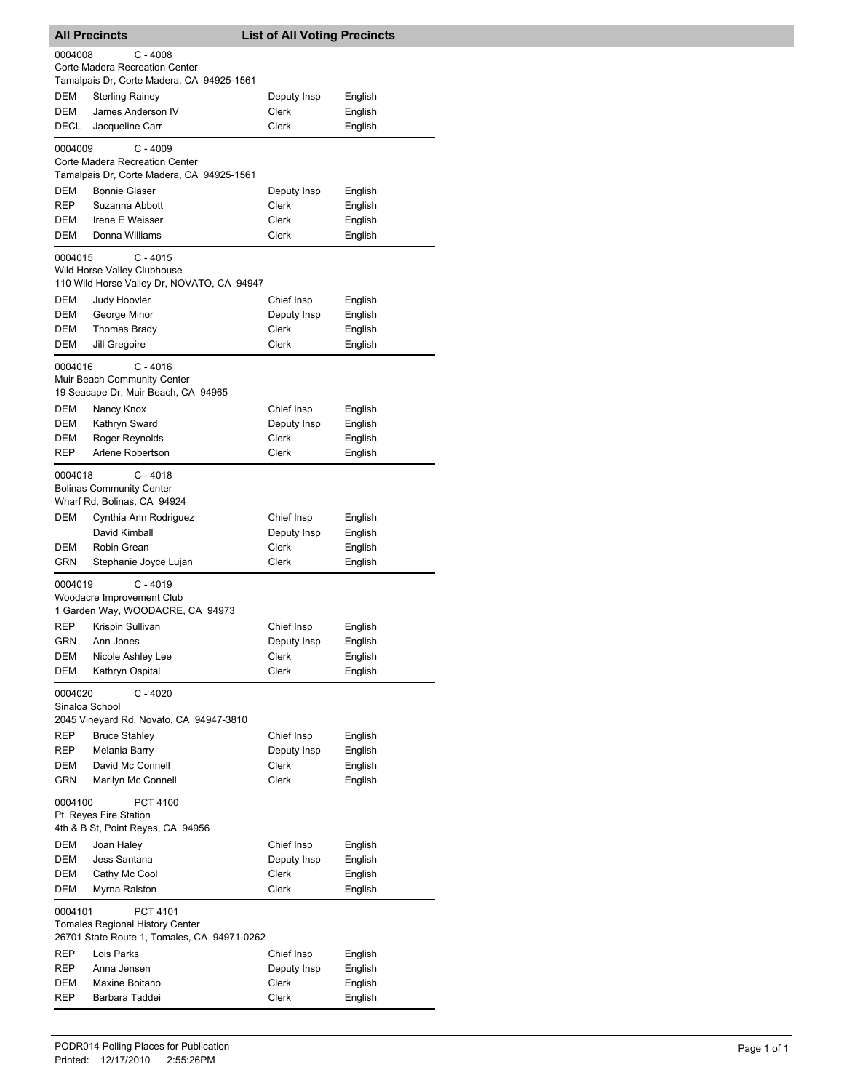| 0004008<br>$C - 4008$<br>Corte Madera Recreation Center<br>Tamalpais Dr, Corte Madera, CA 94925-1561<br>DEM<br><b>Sterling Rainey</b><br>Deputy Insp<br>English<br>DEM<br>James Anderson IV<br>Clerk<br>English<br>DECL<br>Jacqueline Carr<br>Clerk<br>English<br>0004009<br>$C - 4009$<br>Corte Madera Recreation Center<br>Tamalpais Dr, Corte Madera, CA 94925-1561<br>DEM<br><b>Bonnie Glaser</b><br>Deputy Insp<br>English<br><b>REP</b><br>Suzanna Abbott<br>Clerk<br>English<br>Irene E Weisser<br>Clerk<br>English<br>DEM<br>DEM<br>Donna Williams<br>Clerk<br>English<br>$C - 4015$<br>0004015<br>Wild Horse Valley Clubhouse<br>110 Wild Horse Valley Dr, NOVATO, CA 94947<br><b>DEM</b><br>Chief Insp<br>Judy Hoovler<br>English<br>DEM<br>George Minor<br>Deputy Insp<br>English<br>DEM<br>Clerk<br>Thomas Brady<br>English<br>DEM<br>Clerk<br>Jill Gregoire<br>English<br>$C - 4016$<br>0004016<br>Muir Beach Community Center<br>19 Seacape Dr, Muir Beach, CA 94965<br>DEM<br>Nancy Knox<br>Chief Insp<br>English<br>DEM<br>Deputy Insp<br>Kathryn Sward<br>English<br>DEM<br>Clerk<br>English<br>Roger Reynolds<br>REP<br>Arlene Robertson<br>Clerk<br>English<br>$C - 4018$<br>0004018<br><b>Bolinas Community Center</b><br>Wharf Rd, Bolinas, CA 94924<br>DEM<br>Cynthia Ann Rodriguez<br>Chief Insp<br>English<br>David Kimball<br>Deputy Insp<br>English<br>DEM<br>Clerk<br>Robin Grean<br>English<br>GRN<br>Clerk<br>English<br>Stephanie Joyce Lujan<br>$C - 4019$<br>0004019<br>Woodacre Improvement Club<br>1 Garden Way, WOODACRE, CA 94973<br><b>REP</b><br>Krispin Sullivan<br>Chief Insp<br>English<br>GRN<br>Ann Jones<br>English<br>Deputy Insp<br><b>DEM</b><br>Nicole Ashley Lee<br>Clerk<br>English<br><b>DEM</b><br>Kathryn Ospital<br>Clerk<br>English<br>$C - 4020$<br>0004020<br>Sinaloa School<br>2045 Vineyard Rd, Novato, CA 94947-3810<br>REP<br><b>Bruce Stahley</b><br>Chief Insp<br>English<br>REP<br>Melania Barry<br>Deputy Insp<br>English<br>DEM<br>David Mc Connell<br><b>Clerk</b><br>English<br>GRN<br>Marilyn Mc Connell<br>Clerk<br>English<br>0004100<br>PCT 4100<br>Pt. Reyes Fire Station<br>4th & B St, Point Reyes, CA 94956<br>Chief Insp<br>DEM<br>Joan Haley<br>English<br>DEM<br>Jess Santana<br>Deputy Insp<br>English<br>DEM<br>Cathy Mc Cool<br>Clerk<br>English<br>DEM<br>Myrna Ralston<br>Clerk<br>English<br>0004101<br>PCT 4101<br>Tomales Regional History Center<br>26701 State Route 1, Tomales, CA 94971-0262<br>REP<br>Lois Parks<br>Chief Insp<br>English<br>REP<br>Anna Jensen<br>Deputy Insp<br>English<br>Clerk<br>DEM<br>Maxine Boitano<br>English<br>REP<br>Barbara Taddei<br>Clerk<br>English | <b>All Precincts</b> |  |  | <b>List of All Voting Precincts</b> |  |  |
|---------------------------------------------------------------------------------------------------------------------------------------------------------------------------------------------------------------------------------------------------------------------------------------------------------------------------------------------------------------------------------------------------------------------------------------------------------------------------------------------------------------------------------------------------------------------------------------------------------------------------------------------------------------------------------------------------------------------------------------------------------------------------------------------------------------------------------------------------------------------------------------------------------------------------------------------------------------------------------------------------------------------------------------------------------------------------------------------------------------------------------------------------------------------------------------------------------------------------------------------------------------------------------------------------------------------------------------------------------------------------------------------------------------------------------------------------------------------------------------------------------------------------------------------------------------------------------------------------------------------------------------------------------------------------------------------------------------------------------------------------------------------------------------------------------------------------------------------------------------------------------------------------------------------------------------------------------------------------------------------------------------------------------------------------------------------------------------------------------------------------------------------------------------------------------------------------------------------------------------------------------------------------------------------------------------------------------------------------------------------------------------------------------------------------------------------------------------------------------------------------------------------------------------------------------------------------------------------------------------------------------------------------------------------------------|----------------------|--|--|-------------------------------------|--|--|
|                                                                                                                                                                                                                                                                                                                                                                                                                                                                                                                                                                                                                                                                                                                                                                                                                                                                                                                                                                                                                                                                                                                                                                                                                                                                                                                                                                                                                                                                                                                                                                                                                                                                                                                                                                                                                                                                                                                                                                                                                                                                                                                                                                                                                                                                                                                                                                                                                                                                                                                                                                                                                                                                                 |                      |  |  |                                     |  |  |
|                                                                                                                                                                                                                                                                                                                                                                                                                                                                                                                                                                                                                                                                                                                                                                                                                                                                                                                                                                                                                                                                                                                                                                                                                                                                                                                                                                                                                                                                                                                                                                                                                                                                                                                                                                                                                                                                                                                                                                                                                                                                                                                                                                                                                                                                                                                                                                                                                                                                                                                                                                                                                                                                                 |                      |  |  |                                     |  |  |
|                                                                                                                                                                                                                                                                                                                                                                                                                                                                                                                                                                                                                                                                                                                                                                                                                                                                                                                                                                                                                                                                                                                                                                                                                                                                                                                                                                                                                                                                                                                                                                                                                                                                                                                                                                                                                                                                                                                                                                                                                                                                                                                                                                                                                                                                                                                                                                                                                                                                                                                                                                                                                                                                                 |                      |  |  |                                     |  |  |
|                                                                                                                                                                                                                                                                                                                                                                                                                                                                                                                                                                                                                                                                                                                                                                                                                                                                                                                                                                                                                                                                                                                                                                                                                                                                                                                                                                                                                                                                                                                                                                                                                                                                                                                                                                                                                                                                                                                                                                                                                                                                                                                                                                                                                                                                                                                                                                                                                                                                                                                                                                                                                                                                                 |                      |  |  |                                     |  |  |
|                                                                                                                                                                                                                                                                                                                                                                                                                                                                                                                                                                                                                                                                                                                                                                                                                                                                                                                                                                                                                                                                                                                                                                                                                                                                                                                                                                                                                                                                                                                                                                                                                                                                                                                                                                                                                                                                                                                                                                                                                                                                                                                                                                                                                                                                                                                                                                                                                                                                                                                                                                                                                                                                                 |                      |  |  |                                     |  |  |
|                                                                                                                                                                                                                                                                                                                                                                                                                                                                                                                                                                                                                                                                                                                                                                                                                                                                                                                                                                                                                                                                                                                                                                                                                                                                                                                                                                                                                                                                                                                                                                                                                                                                                                                                                                                                                                                                                                                                                                                                                                                                                                                                                                                                                                                                                                                                                                                                                                                                                                                                                                                                                                                                                 |                      |  |  |                                     |  |  |
|                                                                                                                                                                                                                                                                                                                                                                                                                                                                                                                                                                                                                                                                                                                                                                                                                                                                                                                                                                                                                                                                                                                                                                                                                                                                                                                                                                                                                                                                                                                                                                                                                                                                                                                                                                                                                                                                                                                                                                                                                                                                                                                                                                                                                                                                                                                                                                                                                                                                                                                                                                                                                                                                                 |                      |  |  |                                     |  |  |
|                                                                                                                                                                                                                                                                                                                                                                                                                                                                                                                                                                                                                                                                                                                                                                                                                                                                                                                                                                                                                                                                                                                                                                                                                                                                                                                                                                                                                                                                                                                                                                                                                                                                                                                                                                                                                                                                                                                                                                                                                                                                                                                                                                                                                                                                                                                                                                                                                                                                                                                                                                                                                                                                                 |                      |  |  |                                     |  |  |
|                                                                                                                                                                                                                                                                                                                                                                                                                                                                                                                                                                                                                                                                                                                                                                                                                                                                                                                                                                                                                                                                                                                                                                                                                                                                                                                                                                                                                                                                                                                                                                                                                                                                                                                                                                                                                                                                                                                                                                                                                                                                                                                                                                                                                                                                                                                                                                                                                                                                                                                                                                                                                                                                                 |                      |  |  |                                     |  |  |
|                                                                                                                                                                                                                                                                                                                                                                                                                                                                                                                                                                                                                                                                                                                                                                                                                                                                                                                                                                                                                                                                                                                                                                                                                                                                                                                                                                                                                                                                                                                                                                                                                                                                                                                                                                                                                                                                                                                                                                                                                                                                                                                                                                                                                                                                                                                                                                                                                                                                                                                                                                                                                                                                                 |                      |  |  |                                     |  |  |
|                                                                                                                                                                                                                                                                                                                                                                                                                                                                                                                                                                                                                                                                                                                                                                                                                                                                                                                                                                                                                                                                                                                                                                                                                                                                                                                                                                                                                                                                                                                                                                                                                                                                                                                                                                                                                                                                                                                                                                                                                                                                                                                                                                                                                                                                                                                                                                                                                                                                                                                                                                                                                                                                                 |                      |  |  |                                     |  |  |
|                                                                                                                                                                                                                                                                                                                                                                                                                                                                                                                                                                                                                                                                                                                                                                                                                                                                                                                                                                                                                                                                                                                                                                                                                                                                                                                                                                                                                                                                                                                                                                                                                                                                                                                                                                                                                                                                                                                                                                                                                                                                                                                                                                                                                                                                                                                                                                                                                                                                                                                                                                                                                                                                                 |                      |  |  |                                     |  |  |
|                                                                                                                                                                                                                                                                                                                                                                                                                                                                                                                                                                                                                                                                                                                                                                                                                                                                                                                                                                                                                                                                                                                                                                                                                                                                                                                                                                                                                                                                                                                                                                                                                                                                                                                                                                                                                                                                                                                                                                                                                                                                                                                                                                                                                                                                                                                                                                                                                                                                                                                                                                                                                                                                                 |                      |  |  |                                     |  |  |
|                                                                                                                                                                                                                                                                                                                                                                                                                                                                                                                                                                                                                                                                                                                                                                                                                                                                                                                                                                                                                                                                                                                                                                                                                                                                                                                                                                                                                                                                                                                                                                                                                                                                                                                                                                                                                                                                                                                                                                                                                                                                                                                                                                                                                                                                                                                                                                                                                                                                                                                                                                                                                                                                                 |                      |  |  |                                     |  |  |
|                                                                                                                                                                                                                                                                                                                                                                                                                                                                                                                                                                                                                                                                                                                                                                                                                                                                                                                                                                                                                                                                                                                                                                                                                                                                                                                                                                                                                                                                                                                                                                                                                                                                                                                                                                                                                                                                                                                                                                                                                                                                                                                                                                                                                                                                                                                                                                                                                                                                                                                                                                                                                                                                                 |                      |  |  |                                     |  |  |
|                                                                                                                                                                                                                                                                                                                                                                                                                                                                                                                                                                                                                                                                                                                                                                                                                                                                                                                                                                                                                                                                                                                                                                                                                                                                                                                                                                                                                                                                                                                                                                                                                                                                                                                                                                                                                                                                                                                                                                                                                                                                                                                                                                                                                                                                                                                                                                                                                                                                                                                                                                                                                                                                                 |                      |  |  |                                     |  |  |
|                                                                                                                                                                                                                                                                                                                                                                                                                                                                                                                                                                                                                                                                                                                                                                                                                                                                                                                                                                                                                                                                                                                                                                                                                                                                                                                                                                                                                                                                                                                                                                                                                                                                                                                                                                                                                                                                                                                                                                                                                                                                                                                                                                                                                                                                                                                                                                                                                                                                                                                                                                                                                                                                                 |                      |  |  |                                     |  |  |
|                                                                                                                                                                                                                                                                                                                                                                                                                                                                                                                                                                                                                                                                                                                                                                                                                                                                                                                                                                                                                                                                                                                                                                                                                                                                                                                                                                                                                                                                                                                                                                                                                                                                                                                                                                                                                                                                                                                                                                                                                                                                                                                                                                                                                                                                                                                                                                                                                                                                                                                                                                                                                                                                                 |                      |  |  |                                     |  |  |
|                                                                                                                                                                                                                                                                                                                                                                                                                                                                                                                                                                                                                                                                                                                                                                                                                                                                                                                                                                                                                                                                                                                                                                                                                                                                                                                                                                                                                                                                                                                                                                                                                                                                                                                                                                                                                                                                                                                                                                                                                                                                                                                                                                                                                                                                                                                                                                                                                                                                                                                                                                                                                                                                                 |                      |  |  |                                     |  |  |
|                                                                                                                                                                                                                                                                                                                                                                                                                                                                                                                                                                                                                                                                                                                                                                                                                                                                                                                                                                                                                                                                                                                                                                                                                                                                                                                                                                                                                                                                                                                                                                                                                                                                                                                                                                                                                                                                                                                                                                                                                                                                                                                                                                                                                                                                                                                                                                                                                                                                                                                                                                                                                                                                                 |                      |  |  |                                     |  |  |
|                                                                                                                                                                                                                                                                                                                                                                                                                                                                                                                                                                                                                                                                                                                                                                                                                                                                                                                                                                                                                                                                                                                                                                                                                                                                                                                                                                                                                                                                                                                                                                                                                                                                                                                                                                                                                                                                                                                                                                                                                                                                                                                                                                                                                                                                                                                                                                                                                                                                                                                                                                                                                                                                                 |                      |  |  |                                     |  |  |
|                                                                                                                                                                                                                                                                                                                                                                                                                                                                                                                                                                                                                                                                                                                                                                                                                                                                                                                                                                                                                                                                                                                                                                                                                                                                                                                                                                                                                                                                                                                                                                                                                                                                                                                                                                                                                                                                                                                                                                                                                                                                                                                                                                                                                                                                                                                                                                                                                                                                                                                                                                                                                                                                                 |                      |  |  |                                     |  |  |
|                                                                                                                                                                                                                                                                                                                                                                                                                                                                                                                                                                                                                                                                                                                                                                                                                                                                                                                                                                                                                                                                                                                                                                                                                                                                                                                                                                                                                                                                                                                                                                                                                                                                                                                                                                                                                                                                                                                                                                                                                                                                                                                                                                                                                                                                                                                                                                                                                                                                                                                                                                                                                                                                                 |                      |  |  |                                     |  |  |
|                                                                                                                                                                                                                                                                                                                                                                                                                                                                                                                                                                                                                                                                                                                                                                                                                                                                                                                                                                                                                                                                                                                                                                                                                                                                                                                                                                                                                                                                                                                                                                                                                                                                                                                                                                                                                                                                                                                                                                                                                                                                                                                                                                                                                                                                                                                                                                                                                                                                                                                                                                                                                                                                                 |                      |  |  |                                     |  |  |
|                                                                                                                                                                                                                                                                                                                                                                                                                                                                                                                                                                                                                                                                                                                                                                                                                                                                                                                                                                                                                                                                                                                                                                                                                                                                                                                                                                                                                                                                                                                                                                                                                                                                                                                                                                                                                                                                                                                                                                                                                                                                                                                                                                                                                                                                                                                                                                                                                                                                                                                                                                                                                                                                                 |                      |  |  |                                     |  |  |
|                                                                                                                                                                                                                                                                                                                                                                                                                                                                                                                                                                                                                                                                                                                                                                                                                                                                                                                                                                                                                                                                                                                                                                                                                                                                                                                                                                                                                                                                                                                                                                                                                                                                                                                                                                                                                                                                                                                                                                                                                                                                                                                                                                                                                                                                                                                                                                                                                                                                                                                                                                                                                                                                                 |                      |  |  |                                     |  |  |
|                                                                                                                                                                                                                                                                                                                                                                                                                                                                                                                                                                                                                                                                                                                                                                                                                                                                                                                                                                                                                                                                                                                                                                                                                                                                                                                                                                                                                                                                                                                                                                                                                                                                                                                                                                                                                                                                                                                                                                                                                                                                                                                                                                                                                                                                                                                                                                                                                                                                                                                                                                                                                                                                                 |                      |  |  |                                     |  |  |
|                                                                                                                                                                                                                                                                                                                                                                                                                                                                                                                                                                                                                                                                                                                                                                                                                                                                                                                                                                                                                                                                                                                                                                                                                                                                                                                                                                                                                                                                                                                                                                                                                                                                                                                                                                                                                                                                                                                                                                                                                                                                                                                                                                                                                                                                                                                                                                                                                                                                                                                                                                                                                                                                                 |                      |  |  |                                     |  |  |
|                                                                                                                                                                                                                                                                                                                                                                                                                                                                                                                                                                                                                                                                                                                                                                                                                                                                                                                                                                                                                                                                                                                                                                                                                                                                                                                                                                                                                                                                                                                                                                                                                                                                                                                                                                                                                                                                                                                                                                                                                                                                                                                                                                                                                                                                                                                                                                                                                                                                                                                                                                                                                                                                                 |                      |  |  |                                     |  |  |
|                                                                                                                                                                                                                                                                                                                                                                                                                                                                                                                                                                                                                                                                                                                                                                                                                                                                                                                                                                                                                                                                                                                                                                                                                                                                                                                                                                                                                                                                                                                                                                                                                                                                                                                                                                                                                                                                                                                                                                                                                                                                                                                                                                                                                                                                                                                                                                                                                                                                                                                                                                                                                                                                                 |                      |  |  |                                     |  |  |
|                                                                                                                                                                                                                                                                                                                                                                                                                                                                                                                                                                                                                                                                                                                                                                                                                                                                                                                                                                                                                                                                                                                                                                                                                                                                                                                                                                                                                                                                                                                                                                                                                                                                                                                                                                                                                                                                                                                                                                                                                                                                                                                                                                                                                                                                                                                                                                                                                                                                                                                                                                                                                                                                                 |                      |  |  |                                     |  |  |
|                                                                                                                                                                                                                                                                                                                                                                                                                                                                                                                                                                                                                                                                                                                                                                                                                                                                                                                                                                                                                                                                                                                                                                                                                                                                                                                                                                                                                                                                                                                                                                                                                                                                                                                                                                                                                                                                                                                                                                                                                                                                                                                                                                                                                                                                                                                                                                                                                                                                                                                                                                                                                                                                                 |                      |  |  |                                     |  |  |
|                                                                                                                                                                                                                                                                                                                                                                                                                                                                                                                                                                                                                                                                                                                                                                                                                                                                                                                                                                                                                                                                                                                                                                                                                                                                                                                                                                                                                                                                                                                                                                                                                                                                                                                                                                                                                                                                                                                                                                                                                                                                                                                                                                                                                                                                                                                                                                                                                                                                                                                                                                                                                                                                                 |                      |  |  |                                     |  |  |
|                                                                                                                                                                                                                                                                                                                                                                                                                                                                                                                                                                                                                                                                                                                                                                                                                                                                                                                                                                                                                                                                                                                                                                                                                                                                                                                                                                                                                                                                                                                                                                                                                                                                                                                                                                                                                                                                                                                                                                                                                                                                                                                                                                                                                                                                                                                                                                                                                                                                                                                                                                                                                                                                                 |                      |  |  |                                     |  |  |
|                                                                                                                                                                                                                                                                                                                                                                                                                                                                                                                                                                                                                                                                                                                                                                                                                                                                                                                                                                                                                                                                                                                                                                                                                                                                                                                                                                                                                                                                                                                                                                                                                                                                                                                                                                                                                                                                                                                                                                                                                                                                                                                                                                                                                                                                                                                                                                                                                                                                                                                                                                                                                                                                                 |                      |  |  |                                     |  |  |
|                                                                                                                                                                                                                                                                                                                                                                                                                                                                                                                                                                                                                                                                                                                                                                                                                                                                                                                                                                                                                                                                                                                                                                                                                                                                                                                                                                                                                                                                                                                                                                                                                                                                                                                                                                                                                                                                                                                                                                                                                                                                                                                                                                                                                                                                                                                                                                                                                                                                                                                                                                                                                                                                                 |                      |  |  |                                     |  |  |
|                                                                                                                                                                                                                                                                                                                                                                                                                                                                                                                                                                                                                                                                                                                                                                                                                                                                                                                                                                                                                                                                                                                                                                                                                                                                                                                                                                                                                                                                                                                                                                                                                                                                                                                                                                                                                                                                                                                                                                                                                                                                                                                                                                                                                                                                                                                                                                                                                                                                                                                                                                                                                                                                                 |                      |  |  |                                     |  |  |
|                                                                                                                                                                                                                                                                                                                                                                                                                                                                                                                                                                                                                                                                                                                                                                                                                                                                                                                                                                                                                                                                                                                                                                                                                                                                                                                                                                                                                                                                                                                                                                                                                                                                                                                                                                                                                                                                                                                                                                                                                                                                                                                                                                                                                                                                                                                                                                                                                                                                                                                                                                                                                                                                                 |                      |  |  |                                     |  |  |
|                                                                                                                                                                                                                                                                                                                                                                                                                                                                                                                                                                                                                                                                                                                                                                                                                                                                                                                                                                                                                                                                                                                                                                                                                                                                                                                                                                                                                                                                                                                                                                                                                                                                                                                                                                                                                                                                                                                                                                                                                                                                                                                                                                                                                                                                                                                                                                                                                                                                                                                                                                                                                                                                                 |                      |  |  |                                     |  |  |
|                                                                                                                                                                                                                                                                                                                                                                                                                                                                                                                                                                                                                                                                                                                                                                                                                                                                                                                                                                                                                                                                                                                                                                                                                                                                                                                                                                                                                                                                                                                                                                                                                                                                                                                                                                                                                                                                                                                                                                                                                                                                                                                                                                                                                                                                                                                                                                                                                                                                                                                                                                                                                                                                                 |                      |  |  |                                     |  |  |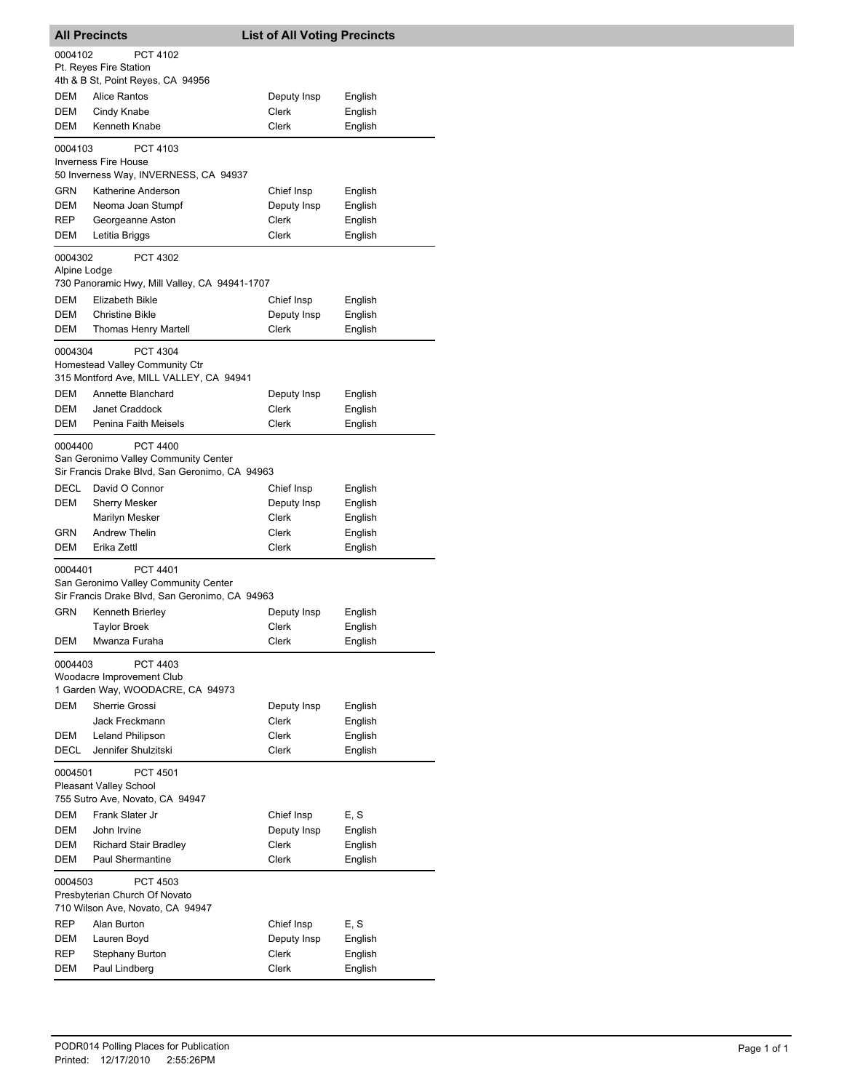| <b>All Precincts</b>                                                                    |                                                                                                           | <b>List of All Voting Precincts</b> |                    |
|-----------------------------------------------------------------------------------------|-----------------------------------------------------------------------------------------------------------|-------------------------------------|--------------------|
| 0004102                                                                                 | PCT 4102                                                                                                  |                                     |                    |
|                                                                                         | Pt. Reyes Fire Station<br>4th & B St, Point Reyes, CA 94956                                               |                                     |                    |
| DEM                                                                                     | Alice Rantos                                                                                              | Deputy Insp                         | English            |
| <b>DEM</b>                                                                              | Cindy Knabe                                                                                               | <b>Clerk</b>                        | English            |
| DEM                                                                                     | Kenneth Knabe                                                                                             | Clerk                               | English            |
| 0004103                                                                                 | PCT 4103<br><b>Inverness Fire House</b>                                                                   |                                     |                    |
|                                                                                         | 50 Inverness Way, INVERNESS, CA 94937                                                                     |                                     |                    |
| GRN                                                                                     | Katherine Anderson                                                                                        | Chief Insp                          | English            |
| DEM                                                                                     | Neoma Joan Stumpf                                                                                         | Deputy Insp                         | English            |
| REP<br>DEM                                                                              | Georgeanne Aston<br>Letitia Briggs                                                                        | Clerk<br>Clerk                      | English<br>English |
|                                                                                         |                                                                                                           |                                     |                    |
| 0004302<br>Alpine Lodge                                                                 | <b>PCT 4302</b><br>730 Panoramic Hwy, Mill Valley, CA 94941-1707                                          |                                     |                    |
| DEM                                                                                     | Elizabeth Bikle                                                                                           | Chief Insp                          | English            |
| DEM                                                                                     | <b>Christine Bikle</b>                                                                                    | Deputy Insp                         | English            |
| <b>DEM</b>                                                                              | <b>Thomas Henry Martell</b>                                                                               | Clerk                               | English            |
| 0004304                                                                                 | <b>PCT 4304</b><br>Homestead Valley Community Ctr<br>315 Montford Ave, MILL VALLEY, CA 94941              |                                     |                    |
| <b>DEM</b>                                                                              | Annette Blanchard                                                                                         | Deputy Insp                         | English            |
| DEM                                                                                     | Janet Craddock                                                                                            | Clerk                               | English            |
| DEM                                                                                     | Penina Faith Meisels                                                                                      | Clerk                               | English            |
| 0004400                                                                                 | <b>PCT 4400</b><br>San Geronimo Valley Community Center<br>Sir Francis Drake Blvd, San Geronimo, CA 94963 |                                     |                    |
| DECL                                                                                    | David O Connor                                                                                            | Chief Insp                          | English            |
| DEM                                                                                     | <b>Sherry Mesker</b>                                                                                      | Deputy Insp                         | English            |
|                                                                                         | Marilyn Mesker                                                                                            | Clerk                               | English            |
| GRN                                                                                     | <b>Andrew Thelin</b>                                                                                      | Clerk                               | English            |
| DEM                                                                                     | Erika Zettl                                                                                               | Clerk                               | English            |
| 0004401                                                                                 | PCT 4401<br>San Geronimo Valley Community Center<br>Sir Francis Drake Blvd, San Geronimo, CA 94963        |                                     |                    |
| <b>GRN</b>                                                                              | Kenneth Brierley                                                                                          | Deputy Insp                         | English            |
|                                                                                         | <b>Taylor Broek</b>                                                                                       | Clerk                               | English            |
| DEM                                                                                     | Mwanza Furaha                                                                                             | Clerk                               | English            |
| 0004403                                                                                 | PCT 4403<br>Woodacre Improvement Club<br>1 Garden Way, WOODACRE, CA 94973                                 |                                     |                    |
| <b>DEM</b>                                                                              | Sherrie Grossi                                                                                            | Deputy Insp                         | English            |
|                                                                                         | Jack Freckmann                                                                                            | Clerk                               | English            |
| DEM                                                                                     | <b>Leland Philipson</b>                                                                                   | <b>Clerk</b>                        | English            |
| DECL                                                                                    | Jennifer Shulzitski                                                                                       | Clerk                               | English            |
| 0004501<br>PCT 4501<br><b>Pleasant Valley School</b><br>755 Sutro Ave, Novato, CA 94947 |                                                                                                           |                                     |                    |
| DEM                                                                                     | Frank Slater Jr                                                                                           | Chief Insp                          | E, S               |
| DEM                                                                                     | John Irvine                                                                                               | Deputy Insp                         | English            |
| DEM                                                                                     | <b>Richard Stair Bradley</b>                                                                              | Clerk                               | English            |
| DEM                                                                                     | Paul Shermantine                                                                                          | Clerk                               | English            |
| 0004503                                                                                 | PCT 4503<br>Presbyterian Church Of Novato<br>710 Wilson Ave, Novato, CA 94947                             |                                     |                    |
| REP                                                                                     | Alan Burton                                                                                               | Chief Insp                          | E, S               |
| DEM                                                                                     | Lauren Boyd                                                                                               | Deputy Insp                         | English            |
| REP                                                                                     | <b>Stephany Burton</b>                                                                                    | Clerk                               | English            |
| DEM                                                                                     | Paul Lindberg                                                                                             | Clerk                               | English            |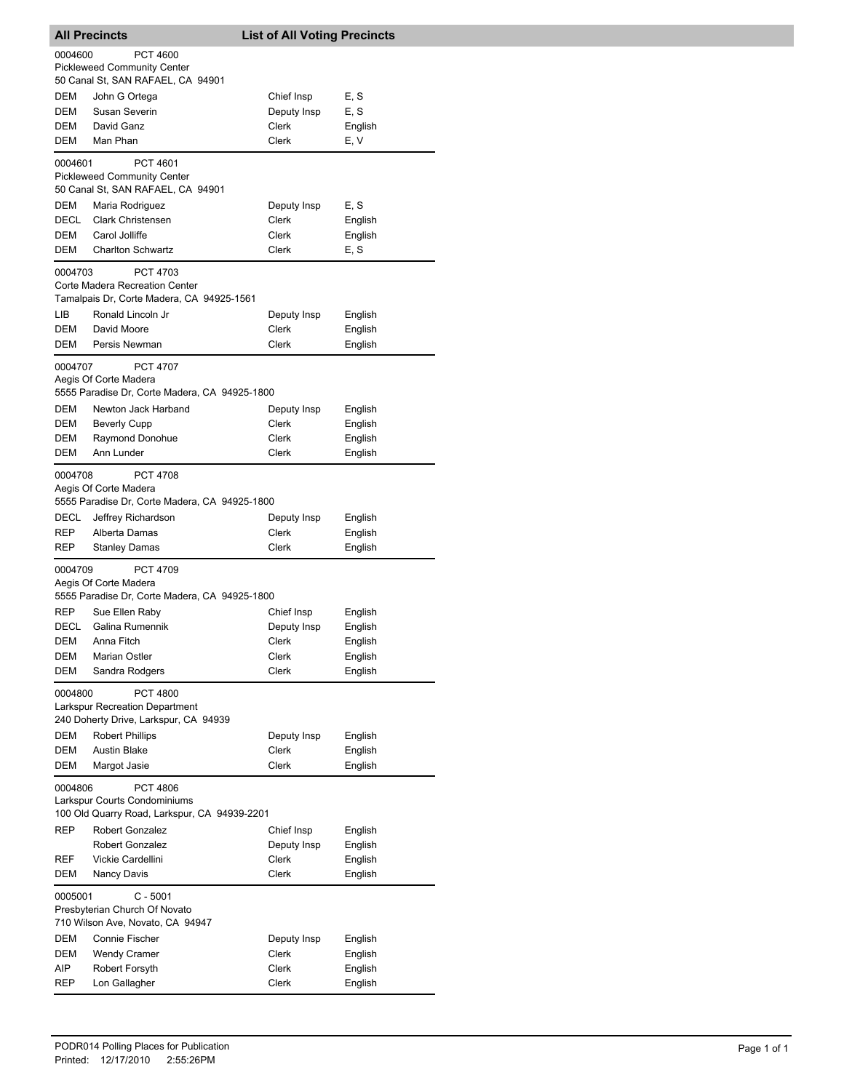| <b>All Precincts</b>                                                                                       |                                                                                                |  | <b>List of All Voting Precincts</b>         |                                 |  |
|------------------------------------------------------------------------------------------------------------|------------------------------------------------------------------------------------------------|--|---------------------------------------------|---------------------------------|--|
| 0004600                                                                                                    | <b>PCT 4600</b><br><b>Pickleweed Community Center</b><br>50 Canal St, SAN RAFAEL, CA 94901     |  |                                             |                                 |  |
| DEM<br><b>DEM</b><br>DEM<br>DEM                                                                            | John G Ortega<br>Susan Severin<br>David Ganz<br>Man Phan                                       |  | Chief Insp<br>Deputy Insp<br>Clerk<br>Clerk | E, S<br>E, S<br>English<br>E, V |  |
| 0004601                                                                                                    | PCT 4601<br><b>Pickleweed Community Center</b>                                                 |  |                                             |                                 |  |
| DEM                                                                                                        | 50 Canal St, SAN RAFAEL, CA 94901<br>Maria Rodriguez                                           |  | Deputy Insp                                 | E, S                            |  |
| <b>DECL</b><br><b>DEM</b>                                                                                  | <b>Clark Christensen</b><br>Carol Jolliffe                                                     |  | Clerk<br>Clerk                              | English                         |  |
| DEM                                                                                                        | <b>Charlton Schwartz</b>                                                                       |  | Clerk                                       | English<br>E, S                 |  |
| 0004703                                                                                                    | <b>PCT 4703</b><br>Corte Madera Recreation Center<br>Tamalpais Dr, Corte Madera, CA 94925-1561 |  |                                             |                                 |  |
| LІВ                                                                                                        | Ronald Lincoln Jr                                                                              |  | Deputy Insp                                 | English                         |  |
| DEM                                                                                                        | David Moore                                                                                    |  | Clerk                                       | English                         |  |
| <b>DEM</b>                                                                                                 | Persis Newman                                                                                  |  | Clerk                                       | English                         |  |
| 0004707                                                                                                    | <b>PCT 4707</b><br>Aegis Of Corte Madera<br>5555 Paradise Dr, Corte Madera, CA 94925-1800      |  |                                             |                                 |  |
| <b>DEM</b>                                                                                                 | Newton Jack Harband                                                                            |  | Deputy Insp                                 | English                         |  |
| DEM                                                                                                        | <b>Beverly Cupp</b>                                                                            |  | Clerk                                       | English                         |  |
| DEM<br>DEM                                                                                                 | Raymond Donohue<br>Ann Lunder                                                                  |  | Clerk<br>Clerk                              | English<br>English              |  |
| 0004708                                                                                                    | <b>PCT 4708</b><br>Aegis Of Corte Madera<br>5555 Paradise Dr, Corte Madera, CA 94925-1800      |  |                                             |                                 |  |
| DECL                                                                                                       | Jeffrey Richardson                                                                             |  | Deputy Insp                                 | English                         |  |
| <b>REP</b><br>REP                                                                                          | Alberta Damas                                                                                  |  | Clerk<br>Clerk                              | English                         |  |
|                                                                                                            | <b>Stanley Damas</b>                                                                           |  |                                             | English                         |  |
| 0004709                                                                                                    | <b>PCT 4709</b><br>Aegis Of Corte Madera<br>5555 Paradise Dr, Corte Madera, CA 94925-1800      |  |                                             |                                 |  |
| REP                                                                                                        | Sue Ellen Raby                                                                                 |  | Chief Insp                                  | English                         |  |
| DECL                                                                                                       | Galina Rumennik                                                                                |  | Deputy Insp                                 | English                         |  |
| DEM<br>DEM                                                                                                 | Anna Fitch<br>Marian Ostler                                                                    |  | Clerk<br>Clerk                              | English<br>English              |  |
| DEM                                                                                                        | Sandra Rodgers                                                                                 |  | Clerk                                       | English                         |  |
| 0004800                                                                                                    | <b>PCT 4800</b><br>Larkspur Recreation Department                                              |  |                                             |                                 |  |
|                                                                                                            | 240 Doherty Drive, Larkspur, CA 94939                                                          |  |                                             |                                 |  |
| DEM<br>DEM                                                                                                 | <b>Robert Phillips</b><br><b>Austin Blake</b>                                                  |  | Deputy Insp<br>Clerk                        | English<br>English              |  |
| DEM                                                                                                        | Margot Jasie                                                                                   |  | <b>Clerk</b>                                | English                         |  |
| 0004806<br><b>PCT 4806</b><br>Larkspur Courts Condominiums<br>100 Old Quarry Road, Larkspur, CA 94939-2201 |                                                                                                |  |                                             |                                 |  |
| REP                                                                                                        | <b>Robert Gonzalez</b>                                                                         |  | Chief Insp                                  | English                         |  |
|                                                                                                            | <b>Robert Gonzalez</b>                                                                         |  | Deputy Insp                                 | English                         |  |
| REF<br>DEM                                                                                                 | Vickie Cardellini<br>Nancy Davis                                                               |  | Clerk<br>Clerk                              | English<br>English              |  |
| 0005001                                                                                                    | $C - 5001$                                                                                     |  |                                             |                                 |  |
|                                                                                                            | Presbyterian Church Of Novato                                                                  |  |                                             |                                 |  |
| DEM                                                                                                        | 710 Wilson Ave, Novato, CA 94947<br>Connie Fischer                                             |  | Deputy Insp                                 | English                         |  |
| DEM                                                                                                        | <b>Wendy Cramer</b>                                                                            |  | Clerk                                       | English                         |  |
| AIP                                                                                                        | Robert Forsyth                                                                                 |  | Clerk                                       | English                         |  |
| REP                                                                                                        | Lon Gallagher                                                                                  |  | Clerk                                       | English                         |  |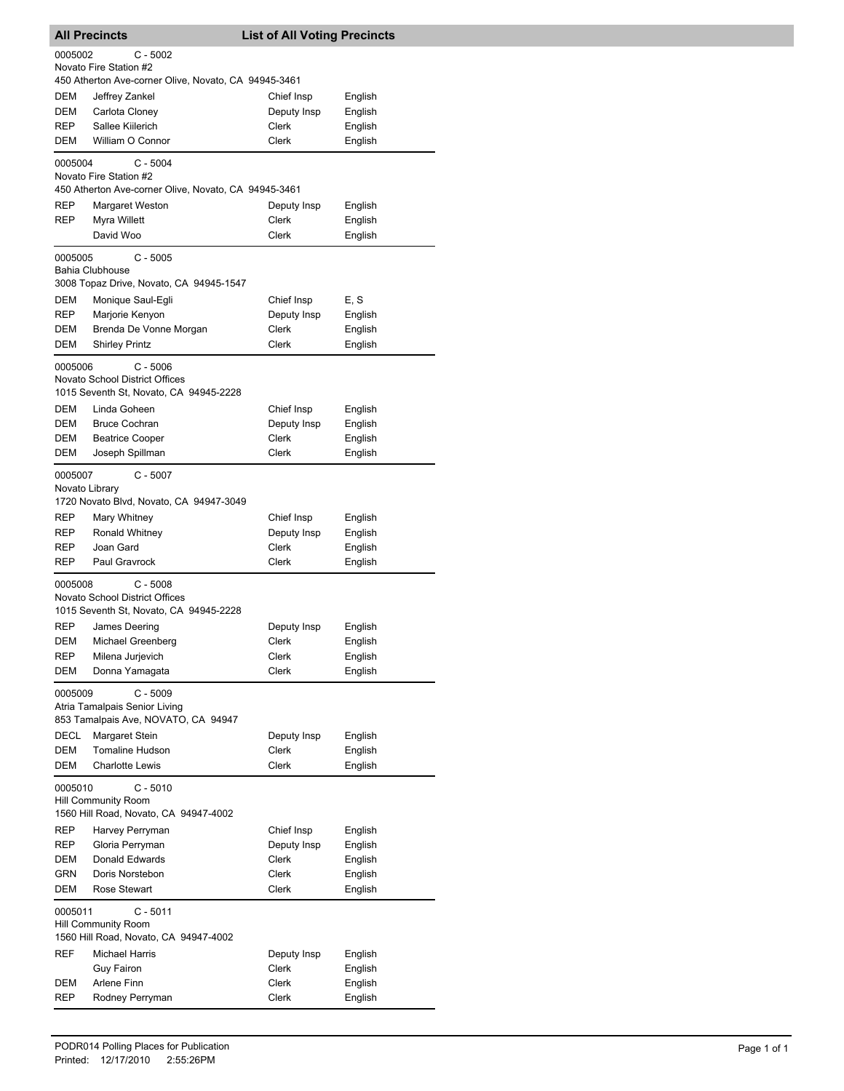| <b>All Precincts</b>                                                                         |                                                                                                              | <b>List of All Voting Precincts</b>         |                                          |  |  |
|----------------------------------------------------------------------------------------------|--------------------------------------------------------------------------------------------------------------|---------------------------------------------|------------------------------------------|--|--|
|                                                                                              | 0005002<br>$C - 5002$<br>Novato Fire Station #2                                                              |                                             |                                          |  |  |
| DEM<br>DEM<br>REP                                                                            | 450 Atherton Ave-corner Olive, Novato, CA 94945-3461<br>Jeffrey Zankel<br>Carlota Cloney<br>Sallee Kiilerich | Chief Insp<br>Deputy Insp<br>Clerk          | English<br>English<br>English            |  |  |
| DEM                                                                                          | William O Connor                                                                                             | <b>Clerk</b>                                | English                                  |  |  |
| 0005004                                                                                      | C - 5004<br>Novato Fire Station #2<br>450 Atherton Ave-corner Olive, Novato, CA 94945-3461                   |                                             |                                          |  |  |
| REP<br>REP                                                                                   | Margaret Weston<br>Myra Willett<br>David Woo                                                                 | Deputy Insp<br><b>Clerk</b><br>Clerk        | English<br>English<br>English            |  |  |
| 0005005                                                                                      | $C - 5005$<br><b>Bahia Clubhouse</b><br>3008 Topaz Drive, Novato, CA 94945-1547                              |                                             |                                          |  |  |
| DEM<br>REP<br>DEM<br>DEM                                                                     | Monique Saul-Egli<br>Marjorie Kenyon<br>Brenda De Vonne Morgan<br><b>Shirley Printz</b>                      | Chief Insp<br>Deputy Insp<br>Clerk<br>Clerk | E, S<br>English<br>English<br>English    |  |  |
| 0005006                                                                                      | $C - 5006$<br>Novato School District Offices<br>1015 Seventh St, Novato, CA 94945-2228                       |                                             |                                          |  |  |
| DEM<br>DEM<br>DEM<br>DEM                                                                     | Linda Goheen<br><b>Bruce Cochran</b><br><b>Beatrice Cooper</b><br>Joseph Spillman                            | Chief Insp<br>Deputy Insp<br>Clerk<br>Clerk | English<br>English<br>English<br>English |  |  |
| $C - 5007$<br>0005007<br>Novato Library<br>1720 Novato Blvd, Novato, CA 94947-3049           |                                                                                                              |                                             |                                          |  |  |
| REP<br>REP<br>REP<br>REP                                                                     | Mary Whitney<br>Ronald Whitney<br>Joan Gard<br>Paul Gravrock                                                 | Chief Insp<br>Deputy Insp<br>Clerk<br>Clerk | English<br>English<br>English<br>English |  |  |
| 0005008                                                                                      | $C - 5008$<br><b>Novato School District Offices</b><br>1015 Seventh St, Novato, CA 94945-2228                |                                             |                                          |  |  |
| REP<br>DEM<br>REP<br>DEM                                                                     | James Deering<br>Michael Greenberg<br>Milena Jurjevich<br>Donna Yamagata                                     | Deputy Insp<br>Clerk<br>Clerk<br>Clerk      | English<br>English<br>English<br>English |  |  |
| 0005009                                                                                      | $C - 5009$<br>Atria Tamalpais Senior Living<br>853 Tamalpais Ave, NOVATO, CA 94947                           |                                             |                                          |  |  |
| DECL<br>DEM<br><b>DEM</b>                                                                    | Margaret Stein<br><b>Tomaline Hudson</b><br><b>Charlotte Lewis</b>                                           | Deputy Insp<br>Clerk<br>Clerk               | English<br>English<br>English            |  |  |
| $C - 5010$<br>0005010<br><b>Hill Community Room</b><br>1560 Hill Road, Novato, CA 94947-4002 |                                                                                                              |                                             |                                          |  |  |
| REP<br>REP                                                                                   | Harvey Perryman<br>Gloria Perryman                                                                           | Chief Insp<br>Deputy Insp                   | English<br>English                       |  |  |
| DEM<br>GRN<br>DEM                                                                            | Donald Edwards<br>Doris Norstebon<br><b>Rose Stewart</b>                                                     | Clerk<br>Clerk<br>Clerk                     | English<br>English<br>English            |  |  |
|                                                                                              | $C - 5011$<br>0005011<br><b>Hill Community Room</b><br>1560 Hill Road, Novato, CA 94947-4002                 |                                             |                                          |  |  |
| REF<br>DEM                                                                                   | <b>Michael Harris</b><br>Guy Fairon<br>Arlene Finn                                                           | Deputy Insp<br>Clerk<br>Clerk               | English<br>English<br>English            |  |  |
| REP                                                                                          | Rodney Perryman                                                                                              | Clerk                                       | English                                  |  |  |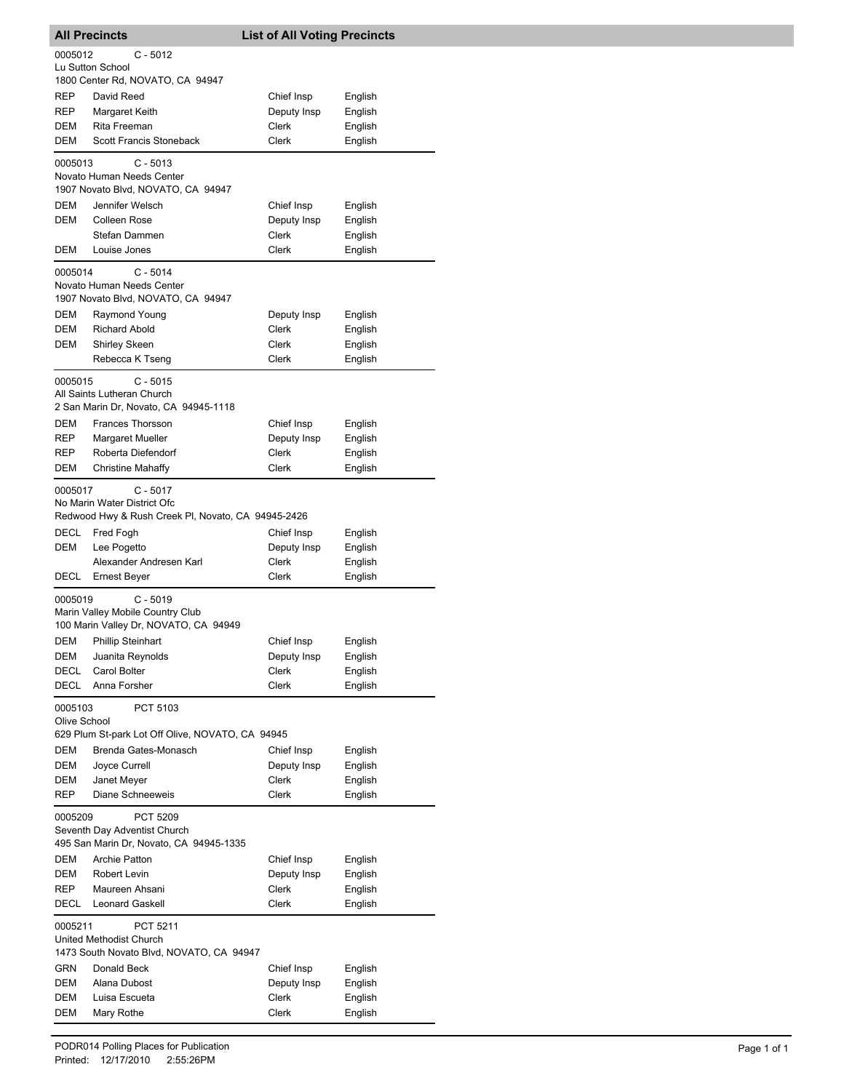|                                                     | <b>All Precincts</b>                                                          | <b>List of All Voting Precincts</b> |                    |  |
|-----------------------------------------------------|-------------------------------------------------------------------------------|-------------------------------------|--------------------|--|
| 0005012                                             | C - 5012                                                                      |                                     |                    |  |
|                                                     | Lu Sutton School                                                              |                                     |                    |  |
| REP                                                 | 1800 Center Rd, NOVATO, CA 94947<br>David Reed                                | Chief Insp                          | English            |  |
| REP                                                 | Margaret Keith                                                                | Deputy Insp                         | English            |  |
| <b>DEM</b>                                          | Rita Freeman                                                                  | Clerk                               | English            |  |
| DEM                                                 | Scott Francis Stoneback                                                       | Clerk                               | English            |  |
| 0005013                                             | $C - 5013$<br>Novato Human Needs Center                                       |                                     |                    |  |
|                                                     | 1907 Novato Blvd, NOVATO, CA 94947                                            |                                     |                    |  |
| DEM                                                 | Jennifer Welsch                                                               | Chief Insp                          | English            |  |
| <b>DEM</b>                                          | Colleen Rose<br>Stefan Dammen                                                 | Deputy Insp<br>Clerk                | English<br>English |  |
| DEM                                                 | Louise Jones                                                                  | Clerk                               | English            |  |
|                                                     |                                                                               |                                     |                    |  |
| 0005014                                             | $C - 5014$<br>Novato Human Needs Center<br>1907 Novato Blvd, NOVATO, CA 94947 |                                     |                    |  |
| <b>DEM</b>                                          | Raymond Young                                                                 | Deputy Insp                         | English            |  |
| DEM                                                 | <b>Richard Abold</b>                                                          | Clerk                               | English            |  |
| DEM                                                 | <b>Shirley Skeen</b>                                                          | Clerk                               | English            |  |
|                                                     | Rebecca K Tseng                                                               | Clerk                               | English            |  |
| 0005015                                             | $C - 5015$<br>All Saints Lutheran Church                                      |                                     |                    |  |
|                                                     | 2 San Marin Dr, Novato, CA 94945-1118                                         |                                     |                    |  |
| DEM                                                 | <b>Frances Thorsson</b>                                                       | Chief Insp                          | English            |  |
| REP                                                 | Margaret Mueller                                                              | Deputy Insp                         | English            |  |
| REP                                                 | Roberta Diefendorf                                                            | Clerk                               | English            |  |
| DEM                                                 | <b>Christine Mahaffy</b>                                                      | Clerk                               | English            |  |
| 0005017                                             | $C - 5017$<br>No Marin Water District Ofc                                     |                                     |                    |  |
|                                                     | Redwood Hwy & Rush Creek PI, Novato, CA 94945-2426                            |                                     |                    |  |
| DECL                                                | Fred Fogh                                                                     | Chief Insp                          | English            |  |
| DEM                                                 | Lee Pogetto<br>Alexander Andresen Karl                                        | Deputy Insp<br>Clerk                | English<br>English |  |
| DECL                                                | Ernest Beyer                                                                  | Clerk                               | English            |  |
| 0005019                                             | $C - 5019$                                                                    |                                     |                    |  |
|                                                     | Marin Valley Mobile Country Club<br>100 Marin Valley Dr, NOVATO, CA 94949     |                                     |                    |  |
| DEM                                                 | <b>Phillip Steinhart</b>                                                      | Chief Insp                          | English            |  |
| DEM                                                 | Juanita Reynolds                                                              | Deputy Insp                         | English            |  |
| DECL                                                | Carol Bolter                                                                  | Clerk                               | English            |  |
| <b>DECL</b>                                         | Anna Forsher                                                                  | Clerk                               | English            |  |
| 0005103<br>Olive School                             | PCT 5103                                                                      |                                     |                    |  |
|                                                     | 629 Plum St-park Lot Off Olive, NOVATO, CA 94945                              |                                     |                    |  |
| DEM                                                 | Brenda Gates-Monasch                                                          | Chief Insp                          | English            |  |
| DEM                                                 | Joyce Currell                                                                 | Deputy Insp                         | English            |  |
| DEM                                                 | Janet Meyer                                                                   | Clerk                               | English            |  |
| REP                                                 | Diane Schneeweis                                                              | Clerk                               | English            |  |
| 0005209<br>PCT 5209<br>Seventh Day Adventist Church |                                                                               |                                     |                    |  |
|                                                     | 495 San Marin Dr, Novato, CA 94945-1335                                       |                                     |                    |  |
| DEM                                                 | <b>Archie Patton</b>                                                          | Chief Insp                          | English            |  |
| DEM                                                 | Robert Levin                                                                  | Deputy Insp                         | English            |  |
| REP<br>DECL                                         | Maureen Ahsani<br><b>Leonard Gaskell</b>                                      | Clerk<br>Clerk                      | English<br>English |  |
| 0005211                                             | PCT 5211                                                                      |                                     |                    |  |
|                                                     | United Methodist Church                                                       |                                     |                    |  |
| 1473 South Novato Blvd, NOVATO, CA 94947            |                                                                               |                                     |                    |  |
| GRN                                                 | Donald Beck                                                                   | Chief Insp                          | English            |  |
| DEM                                                 | Alana Dubost                                                                  | Deputy Insp                         | English            |  |
| DEM                                                 | Luisa Escueta                                                                 | Clerk                               | English            |  |
| DEM                                                 | Mary Rothe                                                                    | Clerk                               | English            |  |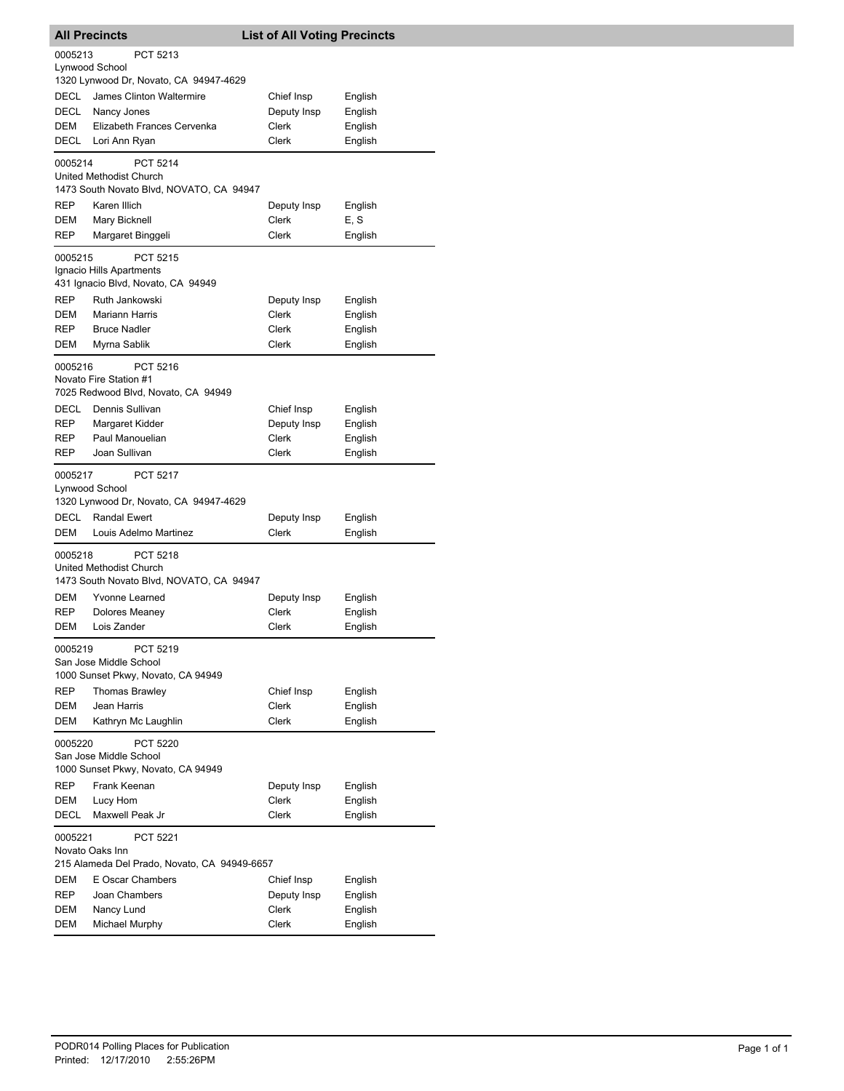| <b>All Precincts</b>                                                                       |                                                                                                           | <b>List of All Voting Precincts</b>         |                                          |  |  |
|--------------------------------------------------------------------------------------------|-----------------------------------------------------------------------------------------------------------|---------------------------------------------|------------------------------------------|--|--|
| 0005213<br>PCT 5213<br>Lynwood School<br>1320 Lynwood Dr, Novato, CA 94947-4629            |                                                                                                           |                                             |                                          |  |  |
| DECL<br>DECL<br>DEM<br>DECL                                                                | James Clinton Waltermire<br>Nancy Jones<br>Elizabeth Frances Cervenka<br>Lori Ann Ryan                    | Chief Insp<br>Deputy Insp<br>Clerk<br>Clerk | English<br>English<br>English<br>English |  |  |
| 0005214                                                                                    | <b>PCT 5214</b><br><b>United Methodist Church</b>                                                         |                                             |                                          |  |  |
|                                                                                            | 1473 South Novato Blvd, NOVATO, CA 94947                                                                  |                                             |                                          |  |  |
| <b>REP</b>                                                                                 | Karen Illich                                                                                              | Deputy Insp                                 | English                                  |  |  |
| DEM<br>REP                                                                                 | Mary Bicknell<br>Margaret Binggeli                                                                        | Clerk<br>Clerk                              | E, S<br>English                          |  |  |
|                                                                                            |                                                                                                           |                                             |                                          |  |  |
| 0005215                                                                                    | PCT 5215<br>Ignacio Hills Apartments<br>431 Ignacio Blvd, Novato, CA 94949                                |                                             |                                          |  |  |
| <b>REP</b>                                                                                 | Ruth Jankowski                                                                                            | Deputy Insp                                 | English                                  |  |  |
| <b>DEM</b>                                                                                 | <b>Mariann Harris</b>                                                                                     | Clerk                                       | English                                  |  |  |
| <b>REP</b>                                                                                 | <b>Bruce Nadler</b>                                                                                       | Clerk                                       | English                                  |  |  |
| <b>DEM</b>                                                                                 | Myrna Sablik                                                                                              | <b>Clerk</b>                                | English                                  |  |  |
| 0005216                                                                                    | PCT 5216<br>Novato Fire Station #1<br>7025 Redwood Blvd, Novato, CA 94949                                 |                                             |                                          |  |  |
| DECL                                                                                       | Dennis Sullivan                                                                                           | Chief Insp                                  | English                                  |  |  |
| REP                                                                                        | Margaret Kidder                                                                                           | Deputy Insp                                 | English                                  |  |  |
| REP                                                                                        | Paul Manouelian                                                                                           | Clerk                                       | English                                  |  |  |
| REP                                                                                        | Joan Sullivan                                                                                             | Clerk                                       | English                                  |  |  |
| 0005217<br>Lynwood School<br>DECL<br>DEM                                                   | <b>PCT 5217</b><br>1320 Lynwood Dr, Novato, CA 94947-4629<br><b>Randal Ewert</b><br>Louis Adelmo Martinez | Deputy Insp<br>Clerk                        | English<br>English                       |  |  |
| 0005218                                                                                    | <b>PCT 5218</b><br>United Methodist Church                                                                |                                             |                                          |  |  |
|                                                                                            | 1473 South Novato Blvd, NOVATO, CA 94947                                                                  |                                             |                                          |  |  |
| DEM                                                                                        | Yvonne Learned                                                                                            | Deputy Insp                                 | English                                  |  |  |
| <b>REP</b>                                                                                 | Dolores Meanev                                                                                            | Clerk                                       | English                                  |  |  |
| DEM                                                                                        | Lois Zander                                                                                               | Clerk                                       | English                                  |  |  |
| 0005219                                                                                    | PCT 5219<br>San Jose Middle School<br>1000 Sunset Pkwy, Novato, CA 94949                                  |                                             |                                          |  |  |
| REP                                                                                        | <b>Thomas Brawley</b>                                                                                     | Chief Insp                                  | English                                  |  |  |
| DEM                                                                                        | Jean Harris                                                                                               | Clerk                                       | English                                  |  |  |
| DEM                                                                                        | Kathryn Mc Laughlin                                                                                       | Clerk                                       | English                                  |  |  |
| 0005220<br><b>PCT 5220</b><br>San Jose Middle School<br>1000 Sunset Pkwy, Novato, CA 94949 |                                                                                                           |                                             |                                          |  |  |
| REP                                                                                        | Frank Keenan                                                                                              | Deputy Insp                                 | English                                  |  |  |
| <b>DEM</b>                                                                                 | Lucy Hom                                                                                                  | Clerk                                       | English                                  |  |  |
| DECL                                                                                       | Maxwell Peak Jr                                                                                           | Clerk                                       | English                                  |  |  |
| 0005221<br>PCT 5221<br>Novato Oaks Inn                                                     |                                                                                                           |                                             |                                          |  |  |
|                                                                                            | 215 Alameda Del Prado, Novato, CA 94949-6657                                                              |                                             |                                          |  |  |
| DEM                                                                                        | E Oscar Chambers                                                                                          | Chief Insp                                  | English                                  |  |  |
| REP                                                                                        | Joan Chambers                                                                                             | Deputy Insp                                 | English                                  |  |  |
| DEM                                                                                        | Nancy Lund                                                                                                | Clerk                                       | English                                  |  |  |
| DEM                                                                                        | <b>Michael Murphy</b>                                                                                     | Clerk                                       | English                                  |  |  |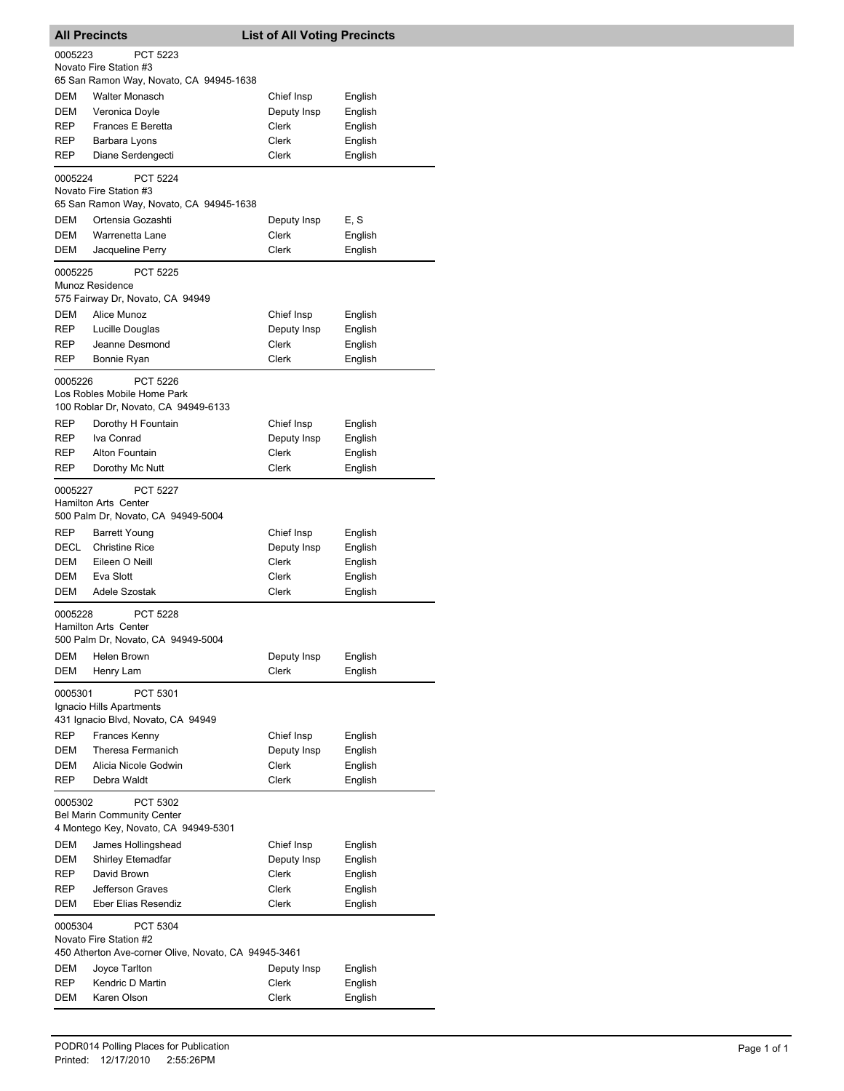|                                                                                                       | <b>All Precincts</b>                                                          | <b>List of All Voting Precincts</b> |                    |  |
|-------------------------------------------------------------------------------------------------------|-------------------------------------------------------------------------------|-------------------------------------|--------------------|--|
| 0005223                                                                                               | PCT 5223                                                                      |                                     |                    |  |
|                                                                                                       | Novato Fire Station #3                                                        |                                     |                    |  |
|                                                                                                       | 65 San Ramon Way, Novato, CA 94945-1638                                       |                                     |                    |  |
| DEM                                                                                                   | <b>Walter Monasch</b>                                                         | Chief Insp                          | English            |  |
| DEM<br>REP                                                                                            | Veronica Doyle<br><b>Frances E Beretta</b>                                    | Deputy Insp<br>Clerk                | English<br>English |  |
| REP                                                                                                   | Barbara Lyons                                                                 | Clerk                               | English            |  |
| REP                                                                                                   | Diane Serdengecti                                                             | Clerk                               | English            |  |
|                                                                                                       |                                                                               |                                     |                    |  |
| 0005224                                                                                               | <b>PCT 5224</b><br>Novato Fire Station #3                                     |                                     |                    |  |
|                                                                                                       | 65 San Ramon Way, Novato, CA 94945-1638                                       |                                     |                    |  |
| DEM                                                                                                   | Ortensia Gozashti                                                             | Deputy Insp                         | E, S               |  |
| DEM                                                                                                   | Warrenetta Lane                                                               | Clerk                               | English            |  |
| DEM                                                                                                   | Jacqueline Perry                                                              | Clerk                               | English            |  |
| 0005225                                                                                               | PCT 5225<br>Munoz Residence                                                   |                                     |                    |  |
|                                                                                                       | 575 Fairway Dr, Novato, CA 94949                                              |                                     |                    |  |
| DEM                                                                                                   | Alice Munoz                                                                   | Chief Insp                          | English            |  |
| REP                                                                                                   | Lucille Douglas                                                               | Deputy Insp                         | English            |  |
| REP                                                                                                   | Jeanne Desmond                                                                | Clerk                               | English            |  |
| REP                                                                                                   | Bonnie Ryan                                                                   | <b>Clerk</b>                        | English            |  |
| 0005226                                                                                               | PCT 5226<br>Los Robles Mobile Home Park                                       |                                     |                    |  |
|                                                                                                       | 100 Roblar Dr, Novato, CA 94949-6133                                          |                                     |                    |  |
| REP                                                                                                   | Dorothy H Fountain                                                            | Chief Insp                          | English            |  |
| REP                                                                                                   | Iva Conrad                                                                    | Deputy Insp                         | English            |  |
| REP                                                                                                   | Alton Fountain                                                                | Clerk                               | English            |  |
| REP                                                                                                   | Dorothy Mc Nutt                                                               | Clerk                               | English            |  |
| 0005227                                                                                               | PCT 5227<br><b>Hamilton Arts Center</b><br>500 Palm Dr, Novato, CA 94949-5004 |                                     |                    |  |
| <b>REP</b>                                                                                            | <b>Barrett Young</b>                                                          | Chief Insp                          | English            |  |
| DECL                                                                                                  | <b>Christine Rice</b>                                                         | Deputy Insp                         | English            |  |
| DEM                                                                                                   | Eileen O Neill                                                                | Clerk                               | English            |  |
| DEM                                                                                                   | Eva Slott                                                                     | Clerk                               | English            |  |
| DEM                                                                                                   | Adele Szostak                                                                 | Clerk                               | English            |  |
| 0005228                                                                                               | PCT 5228<br><b>Hamilton Arts Center</b><br>500 Palm Dr, Novato, CA 94949-5004 |                                     |                    |  |
| DEM                                                                                                   | Helen Brown                                                                   | Deputy Insp                         | English            |  |
| DEM                                                                                                   | Henry Lam                                                                     | Clerk                               | English            |  |
| 0005301                                                                                               | PCT 5301<br>Ignacio Hills Apartments<br>431 Ignacio Blvd, Novato, CA 94949    |                                     |                    |  |
| REP                                                                                                   | Frances Kenny                                                                 | Chief Insp                          | English            |  |
| DEM                                                                                                   | Theresa Fermanich                                                             | Deputy Insp                         | English            |  |
| DEM                                                                                                   | Alicia Nicole Godwin                                                          | <b>Clerk</b>                        | English            |  |
| REP                                                                                                   | Debra Waldt                                                                   | Clerk                               | English            |  |
| 0005302<br>PCT 5302<br><b>Bel Marin Community Center</b><br>4 Montego Key, Novato, CA 94949-5301      |                                                                               |                                     |                    |  |
| DEM                                                                                                   | James Hollingshead                                                            | Chief Insp                          | English            |  |
| DEM                                                                                                   | <b>Shirley Etemadfar</b>                                                      | Deputy Insp                         | English            |  |
| REP                                                                                                   | David Brown                                                                   | Clerk                               | English            |  |
| REP                                                                                                   | Jefferson Graves                                                              | Clerk                               | English            |  |
| DEM                                                                                                   | Eber Elias Resendiz                                                           | Clerk                               | English            |  |
| 0005304<br>PCT 5304<br>Novato Fire Station #2<br>450 Atherton Ave-corner Olive, Novato, CA 94945-3461 |                                                                               |                                     |                    |  |
| DEM                                                                                                   | Joyce Tarlton                                                                 | Deputy Insp                         | English            |  |
| REP                                                                                                   | Kendric D Martin                                                              | Clerk                               | English            |  |
| DEM                                                                                                   | Karen Olson                                                                   | Clerk                               | English            |  |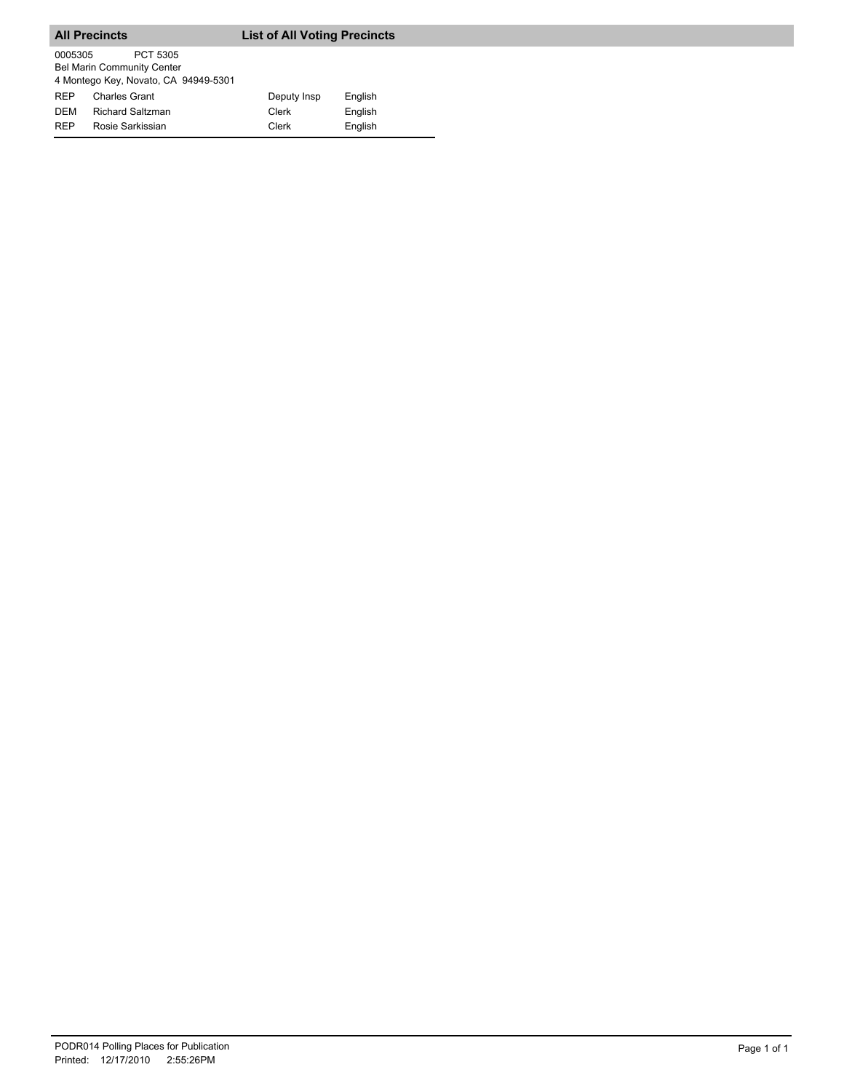|            | <b>All Precincts</b>                                                                  | <b>List of All Voting Precincts</b> |         |
|------------|---------------------------------------------------------------------------------------|-------------------------------------|---------|
| 0005305    | PCT 5305<br><b>Bel Marin Community Center</b><br>4 Montego Key, Novato, CA 94949-5301 |                                     |         |
| <b>REP</b> | <b>Charles Grant</b>                                                                  | Deputy Insp                         | English |
| <b>DEM</b> | <b>Richard Saltzman</b>                                                               | Clerk                               | English |
| <b>RFP</b> | Rosie Sarkissian                                                                      | Clerk                               | English |